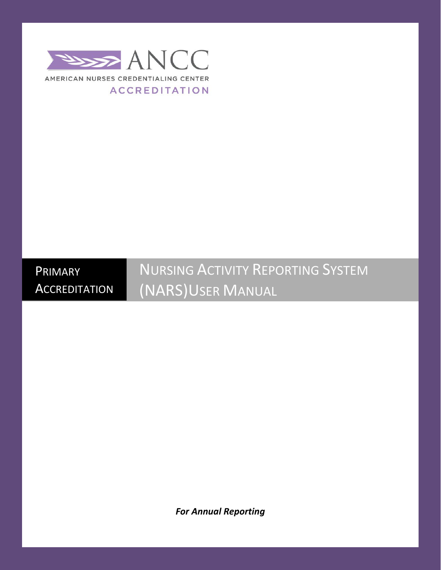

PRIMARY **ACCREDITATION**  NURSING ACTIVITY REPORTING SYSTEM (NARS)USER MANUAL

*For Annual Reporting*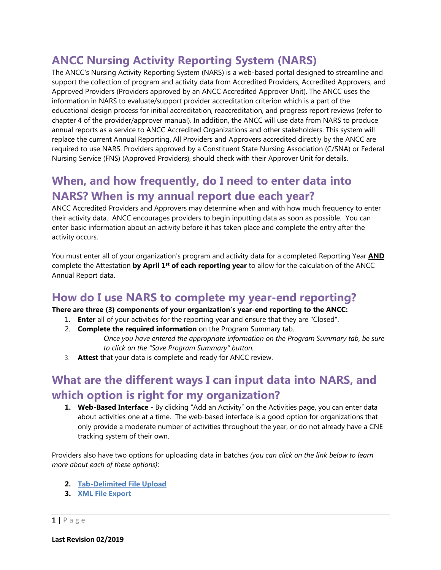# **ANCC Nursing Activity Reporting System (NARS)**

The ANCC's Nursing Activity Reporting System (NARS) is a web-based portal designed to streamline and support the collection of program and activity data from Accredited Providers, Accredited Approvers, and Approved Providers (Providers approved by an ANCC Accredited Approver Unit). The ANCC uses the information in NARS to evaluate/support provider accreditation criterion which is a part of the educational design process for initial accreditation, reaccreditation, and progress report reviews (refer to chapter 4 of the provider/approver manual). In addition, the ANCC will use data from NARS to produce annual reports as a service to ANCC Accredited Organizations and other stakeholders. This system will replace the current Annual Reporting. All Providers and Approvers accredited directly by the ANCC are required to use NARS. Providers approved by a Constituent State Nursing Association (C/SNA) or Federal Nursing Service (FNS) (Approved Providers), should check with their Approver Unit for details.

# **When, and how frequently, do I need to enter data into NARS? When is my annual report due each year?**

ANCC Accredited Providers and Approvers may determine when and with how much frequency to enter their [activity data.](http://www.accme.org/node/6157) ANCC encourages providers to begin inputting data as soon as possible. You can enter basic information about an activity before it has taken place and complete the entry after the activity occurs.

You must enter all of your organization's program and activity data for a completed [Reporting Year](http://www.accme.org/node/6133) **AND** complete the Attestation **by April 1st of each reporting year** to allow for the calculation of the ANCC Annual Report data.

### **How do I use NARS to complete my year-end reporting?**

#### **There are three (3) components of your organization's year-end reporting to the ANCC:**

- 1. **Enter** all of your activities for the reporting year and ensure that they are "Closed".
- 2. **Complete the required information** on the Program Summary tab. *Once you have entered the appropriate information on the Program Summary tab, be sure to click on the "Save Program Summary" button.*
- 3. **Attest** that your data is complete and ready for ANCC review.

# **What are the different ways I can input data into NARS, and which option is right for my organization?**

**1. Web-Based Interface** - By clicking "Add an Activity" on the Activities page, you can enter data about activities one at a time. The web-based interface is a good option for organizations that only provide a moderate number of activities throughout the year, or do not already have a CNE tracking system of their own.

Providers also have two options for uploading data in batches *(you can click on the link below to learn more about each of these options)*:

- **2. [Tab-Delimited File Upload](https://www.nursingworld.org/%7E4b0a29/globalassets/docs/ancc/creating-a-tab-delimited-file-using-the-excel-file-template.pdf)**
- **3. [XML File Export](https://www.nursingworld.org/%7E4a3ed4/globalassets/docs/ancc/ancc-nars-xml-file-upload-instructions.pdf)**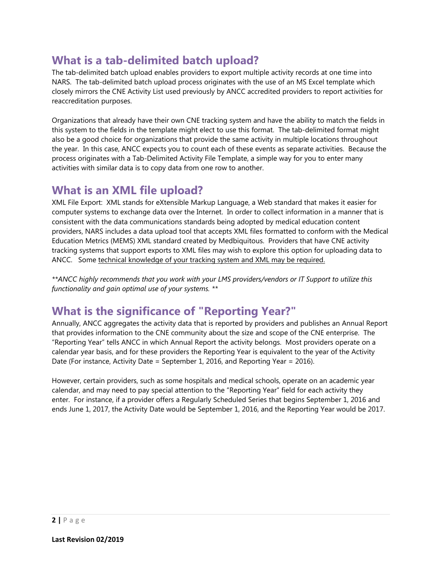## **What is a tab-delimited batch upload?**

The tab-delimited batch upload enables providers to export multiple activity records at one time into NARS. The tab-delimited batch upload process originates with the use of an MS Excel template which closely mirrors the CNE Activity List used previously by ANCC accredited providers to report activities for reaccreditation purposes.

Organizations that already have their own CNE tracking system and have the ability to match the fields in this system to the fields in the template might elect to use this format. The tab-delimited format might also be a good choice for organizations that provide the same activity in multiple locations throughout the year. In this case, ANCC expects you to count each of these events as separate activities. Because the process originates with a Tab-Delimited Activity File Template, a simple way for you to enter many activities with similar data is to copy data from one row to another.

#### **What is an XML file upload?**

XML File Export: XML stands for eXtensible Markup Language, a Web standard that makes it easier for computer systems to exchange data over the Internet. In order to collect information in a manner that is consistent with the data communications standards being adopted by medical education content providers, NARS includes a data upload tool that accepts XML files formatted to conform with the Medical Education Metrics (MEMS) XML standard created by Medbiquitous. Providers that have CNE activity tracking systems that support exports to XML files may wish to explore this option for uploading data to ANCC. Some technical knowledge of your tracking system and XML may be required.

*\*\*ANCC highly recommends that you work with your LMS providers/vendors or IT Support to utilize this functionality and gain optimal use of your systems. \*\**

## **What is the significance of "Reporting Year?"**

Annually, ANCC aggregates the activity data that is reported by providers and publishes an Annual Report that provides information to the CNE community about the size and scope of the CNE enterprise. The "Reporting Year" tells ANCC in which Annual Report the activity belongs. Most providers operate on a calendar year basis, and for these providers the Reporting Year is equivalent to the year of the Activity Date (For instance, Activity Date = September 1, 2016, and Reporting Year = 2016).

However, certain providers, such as some hospitals and medical schools, operate on an academic year calendar, and may need to pay special attention to the "Reporting Year" field for each activity they enter. For instance, if a provider offers a Regularly Scheduled Series that begins September 1, 2016 and ends June 1, 2017, the Activity Date would be September 1, 2016, and the Reporting Year would be 2017.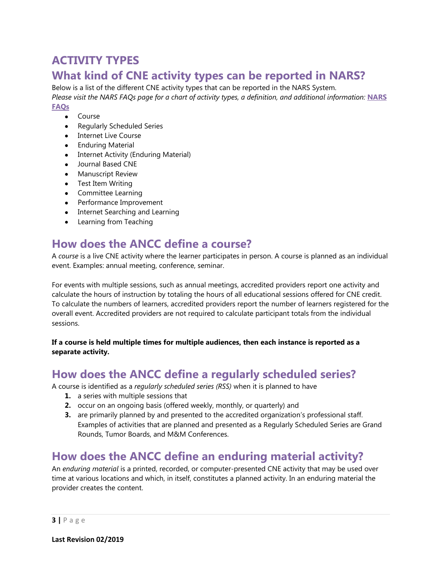# **ACTIVITY TYPES**

### **What kind of CNE activity types can be reported in NARS?**

Below is a list of the different CNE activity types that can be reported in the NARS System. *Please visit the NARS FAQs page for a chart of activity types, a definition, and additional information:* **[NARS](https://www.nursingworld.org/organizational-programs/accreditation/primary-accreditation/faqs/)  [FAQs](https://www.nursingworld.org/organizational-programs/accreditation/primary-accreditation/faqs/)**

- Course
- Regularly Scheduled Series
- Internet Live Course
- Enduring Material
- Internet Activity (Enduring Material)
- Journal Based CNE
- Manuscript Review
- Test Item Writing
- Committee Learning
- Performance Improvement
- Internet Searching and Learning
- Learning from Teaching

### **How does the ANCC define a course?**

A *course* is a live CNE activity where the learner participates in person. A course is planned as an individual event. Examples: annual meeting, conference, seminar.

For events with multiple sessions, such as annual meetings, accredited providers report one activity and calculate the hours of instruction by totaling the hours of all educational sessions offered for CNE credit. To calculate the numbers of learners, accredited providers report the number of learners registered for the overall event. Accredited providers are not required to calculate participant totals from the individual sessions.

**If a course is held multiple times for multiple audiences, then each instance is reported as a separate activity.**

### **How does the ANCC define a regularly scheduled series?**

A course is identified as a *regularly scheduled series (RSS)* when it is planned to have

- **1.** a series with multiple sessions that
- **2.** occur on an ongoing basis (offered weekly, monthly, or quarterly) and
- **3.** are primarily planned by and presented to the accredited organization's professional staff. Examples of activities that are planned and presented as a Regularly Scheduled Series are Grand Rounds, Tumor Boards, and M&M Conferences.

### **How does the ANCC define an enduring material activity?**

An *enduring material* is a printed, recorded, or computer-presented CNE activity that may be used over time at various locations and which, in itself, constitutes a planned activity. In an enduring material the provider creates the content.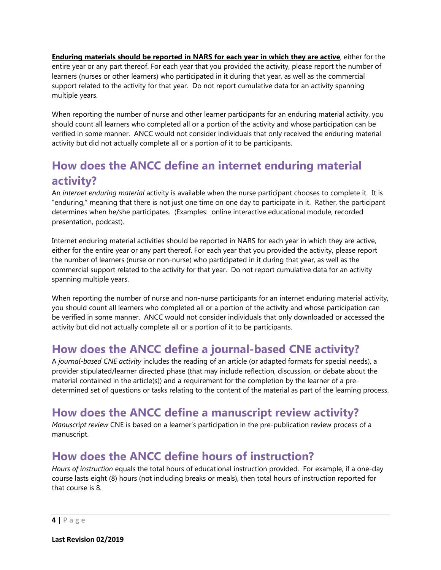**Enduring materials should be reported in NARS for each year in which they are active**, either for the entire year or any part thereof. For each year that you provided the activity, please report the number of learners (nurses or other learners) who participated in it during that year, as well as the commercial support related to the activity for that year. Do not report cumulative data for an activity spanning multiple years.

When reporting the number of nurse and other learner participants for an enduring material activity, you should count all learners who completed all or a portion of the activity and whose participation can be verified in some manner. ANCC would not consider individuals that only received the enduring material activity but did not actually complete all or a portion of it to be participants.

# **How does the ANCC define an internet enduring material activity?**

An *internet enduring material* activity is available when the nurse participant chooses to complete it. It is "enduring," meaning that there is not just one time on one day to participate in it. Rather, the participant determines when he/she participates. (Examples: online interactive educational module, recorded presentation, podcast).

Internet enduring material activities should be reported in NARS for each year in which they are active, either for the entire year or any part thereof. For each year that you provided the activity, please report the number of learners (nurse or non-nurse) who participated in it during that year, as well as the commercial support related to the activity for that year. Do not report cumulative data for an activity spanning multiple years.

When reporting the number of nurse and non-nurse participants for an internet enduring material activity, you should count all learners who completed all or a portion of the activity and whose participation can be verified in some manner. ANCC would not consider individuals that only downloaded or accessed the activity but did not actually complete all or a portion of it to be participants.

## **How does the ANCC define a journal-based CNE activity?**

A *journal-based CNE activity* includes the reading of an article (or adapted formats for special needs), a provider stipulated/learner directed phase (that may include reflection, discussion, or debate about the material contained in the article(s)) and a requirement for the completion by the learner of a predetermined set of questions or tasks relating to the content of the material as part of the learning process.

## **How does the ANCC define a manuscript review activity?**

*Manuscript review* CNE is based on a learner's participation in the pre-publication review process of a manuscript.

### **How does the ANCC define hours of instruction?**

*Hours of instruction* equals the total hours of educational instruction provided. For example, if a one-day course lasts eight (8) hours (not including breaks or meals), then total hours of instruction reported for that course is 8.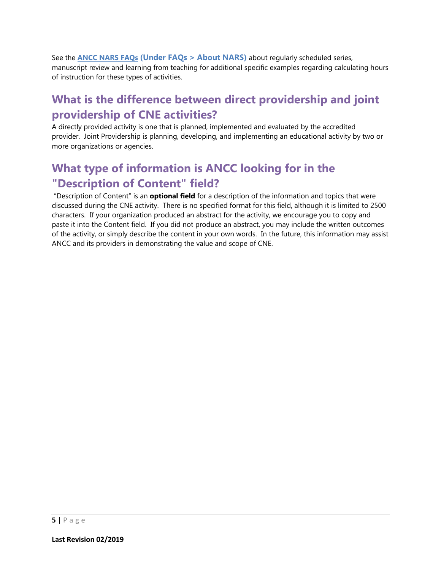See the **ANCC [NARS FAQs](https://www.nursingworld.org/organizational-programs/accreditation/primary-accreditation/faqs/) (Under FAQs > About NARS)** about regularly scheduled series, manuscript review and learning from teaching for additional specific examples regarding calculating hours of instruction for these types of activities.

# <span id="page-5-0"></span>**What is the difference between direct providership and joint providership of CNE activities?**

A directly provided activity is one that is planned, implemented and evaluated by the accredited provider. Joint Providership is planning, developing, and implementing an educational activity by two or more organizations or agencies.

# **What type of information is ANCC looking for in the "Description of Content" field?**

"Description of Content" is an **optional field** for a description of the information and topics that were discussed during the CNE activity. There is no specified format for this field, although it is limited to 2500 characters. If your organization produced an abstract for the activity, we encourage you to copy and paste it into the Content field. If you did not produce an abstract, you may include the written outcomes of the activity, or simply describe the content in your own words. In the future, this information may assist ANCC and its providers in demonstrating the value and scope of CNE.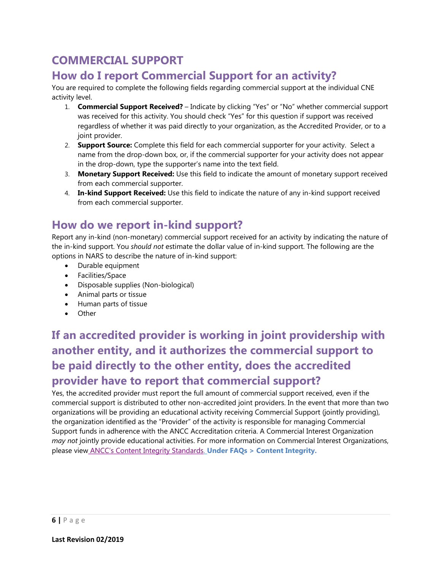# **COMMERCIAL SUPPORT**

## **How do I report Commercial Support for an activity?**

You are required to complete the following fields regarding commercial support at the individual CNE activity level.

- 1. **Commercial Support Received?** Indicate by clicking "Yes" or "No" whether commercial support was received for this activity. You should check "Yes" for this question if support was received regardless of whether it was paid directly to your organization, as the Accredited Provider, or to a joint provider.
- 2. **Support Source:** Complete this field for each commercial supporter for your activity. Select a name from the drop-down box, or, if the commercial supporter for your activity does not appear in the drop-down, type the supporter's name into the text field.
- 3. **Monetary Support Received:** Use this field to indicate the amount of monetary support received from each commercial supporter.
- 4. **In-kind Support Received:** Use this field to indicate the nature of any in-kind support received from each commercial supporter.

### **How do we report in-kind support?**

Report any in-kind (non-monetary) commercial support received for an activity by indicating the nature of the in-kind support. You *should not* estimate the dollar value of in-kind support. The following are the options in NARS to describe the nature of in-kind support:

- Durable equipment
- Facilities/Space
- Disposable supplies (Non-biological)
- Animal parts or tissue
- Human parts of tissue
- Other

# <span id="page-6-0"></span>**If an accredited provider is working in joint providership with another entity, and it authorizes the commercial support to be paid directly to the other entity, does the accredited provider have to report that commercial support?**

Yes, the accredited provider must report the full amount of commercial support received, even if the commercial support is distributed to other non-accredited joint providers. In the event that more than two organizations will be providing an educational activity receiving Commercial Support (jointly providing), the organization identified as the "Provider" of the activity is responsible for managing Commercial Support funds in adherence with the ANCC Accreditation criteria. A Commercial Interest Organization *may not* jointly provide educational activities. For more information on Commercial Interest Organizations, please view [ANCC's Content Integrity Standards.](https://www.nursingworld.org/organizational-programs/accreditation/primary-accreditation/faqs/) **Under FAQs > Content Integrity.**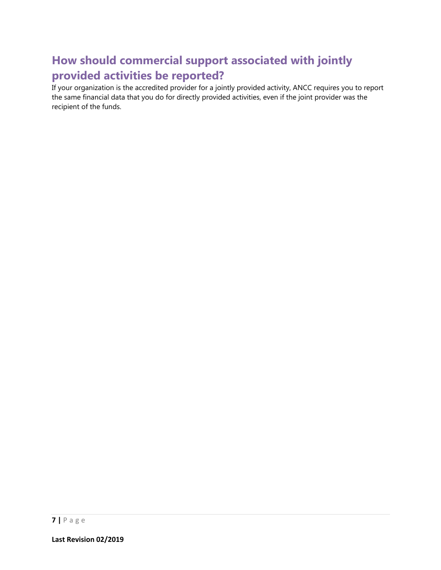# **How should commercial support associated with jointly provided activities be reported?**

If your organization is the accredited provider for a jointly provided activity, ANCC requires you to report the same financial data that you do for directly provided activities, even if the joint provider was the recipient of the funds.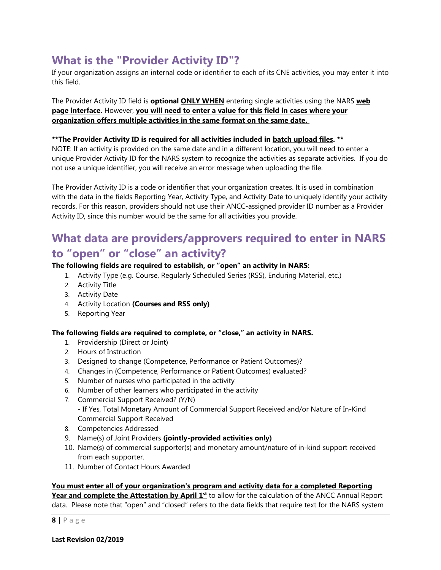# **What is the "Provider Activity ID"?**

If your organization assigns an internal code or identifier to each of its CNE activities, you may enter it into this field.

The Provider Activity ID field is **optional ONLY WHEN** entering single activities using the NARS **web page interface.** However, **you will need to enter a value for this field in cases where your organization offers multiple activities in the same format on the same date.**

#### **\*\*The Provider Activity ID is required for all activities included in batch upload files. \*\***

NOTE: If an activity is provided on the same date and in a different location, you will need to enter a unique Provider Activity ID for the NARS system to recognize the activities as separate activities. If you do not use a unique identifier, you will receive an error message when uploading the file.

The Provider Activity ID is a code or identifier that your organization creates. It is used in combination with the data in the fields Reporting Year, [Activity Type,](http://www.accme.org/ask-accme/what-kind-cme-activity-types-can-be-reported-pars) and Activity Date to uniquely identify your activity records. For this reason, providers should not use their ANCC-assigned provider ID number as a Provider Activity ID, since this number would be the same for all activities you provide.

### **What data are providers/approvers required to enter in NARS to "open" or "close" an activity?**

#### **The following fields are required to establish, or "open" an activity in NARS:**

- 1. Activity Type (e.g. Course, Regularly Scheduled Series (RSS), Enduring Material, etc.)
- 2. Activity Title
- 3. Activity Date
- 4. Activity Location **(Courses and [RSS](http://www.accme.org/node/6132) only)**
- 5. Reporting Year

#### **The following fields are required to complete, or "close," an activity in NARS.**

- 1. Providership (Direct or Joint)
- 2. Hours of Instruction
- 3. Designed to change (Competence, Performance or Patient Outcomes)?
- 4. Changes in (Competence, Performance or Patient Outcomes) evaluated?
- 5. Number of nurses who participated in the activity
- 6. Number of other learners who participated in the activity
- 7. Commercial Support Received? (Y/N) - If Yes, Total Monetary Amount of Commercial Support Received and/or Nature of In-Kind Commercial Support Received
- 8. Competencies Addressed
- 9. Name(s) of Joint Providers **(jointly-provided activities only)**
- 10. Name(s) of commercial supporter(s) and monetary amount/nature of in-kind support received from each supporter.
- 11. Number of Contact Hours Awarded

**You must enter all of your organization's program and activity data for a completed Reporting**  Year and complete the Attestation by April 1<sup>st</sup> to allow for the calculation of the ANCC Annual Report data. Please note that "open" and "closed" refers to the data fields that require text for the NARS system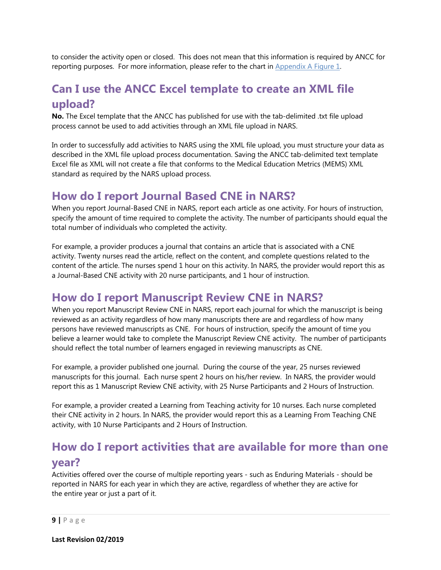to consider the activity open or closed. This does not mean that this information is required by ANCC for reporting purposes. For more information, please refer to the chart in [Appendix A Figure 1.](#page-31-0)

# **Can I use the ANCC Excel template to create an XML file upload?**

**No.** The Excel template that the ANCC has published for use with the tab-delimited .txt file upload process cannot be used to add activities through an XML file upload in NARS.

In order to successfully add activities to NARS using the XML file upload, you must structure your data as described in the XML file upload process documentation. Saving the ANCC tab-delimited text template Excel file as XML will not create a file that conforms to the Medical Education Metrics (MEMS) XML standard as required by the NARS upload process.

### **How do I report Journal Based CNE in NARS?**

When you report Journal-Based CNE in NARS, report each article as one activity. For hours of instruction, specify the amount of time required to complete the activity. The number of participants should equal the total number of individuals who completed the activity.

For example, a provider produces a journal that contains an article that is associated with a CNE activity. Twenty nurses read the article, reflect on the content, and complete questions related to the content of the article. The nurses spend 1 hour on this activity. In NARS, the provider would report this as a Journal-Based CNE activity with 20 nurse participants, and 1 hour of instruction.

### **How do I report Manuscript Review CNE in NARS?**

When you report Manuscript Review CNE in NARS, report each journal for which the manuscript is being reviewed as an activity regardless of how many manuscripts there are and regardless of how many persons have reviewed manuscripts as CNE. For hours of instruction, specify the amount of time you believe a learner would take to complete the Manuscript Review CNE activity. The number of participants should reflect the total number of learners engaged in reviewing manuscripts as CNE.

For example, a provider published one journal. During the course of the year, 25 nurses reviewed manuscripts for this journal. Each nurse spent 2 hours on his/her review. In NARS, the provider would report this as 1 Manuscript Review CNE activity, with 25 Nurse Participants and 2 Hours of Instruction.

For example, a provider created a Learning from Teaching activity for 10 nurses. Each nurse completed their CNE activity in 2 hours. In NARS, the provider would report this as a Learning From Teaching CNE activity, with 10 Nurse Participants and 2 Hours of Instruction.

# **How do I report activities that are available for more than one year?**

Activities offered over the course of multiple reporting years - such as Enduring Materials - should be reported in NARS for each year in which they are active, regardless of whether they are active for the entire year or just a part of it.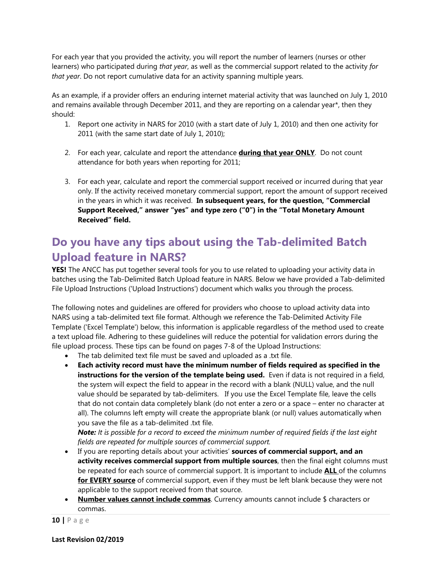For each year that you provided the activity, you will report the number of learners (nurses or other learners) who participated during *that year*, as well as the commercial support related to the activity *for that year*. Do not report cumulative data for an activity spanning multiple years.

As an example, if a provider offers an enduring internet material activity that was launched on July 1, 2010 and remains available through December 2011, and they are reporting on a calendar year\*, then they should:

- 1. Report one activity in NARS for 2010 (with a start date of July 1, 2010) and then one activity for 2011 (with the same start date of July 1, 2010);
- 2. For each year, calculate and report the attendance **during that year ONLY**. Do not count attendance for both years when reporting for 2011;
- 3. For each year, calculate and report the commercial support received or incurred during that year only. If the activity received monetary commercial support, report the amount of support received in the years in which it was received. **In subsequent years, for the question, "Commercial Support Received," answer "yes" and type zero ("0") in the "Total Monetary Amount Received" field.**

# **Do you have any tips about using the Tab-delimited Batch Upload feature in NARS?**

**YES!** The ANCC has put together several tools for you to use related to uploading your activity data in batches using the Tab-Delimited Batch Upload feature in NARS. Below we have provided a [Tab-delimited](http://www.nursecredentialing.org/Documents/Accreditation/Accred-ProviderForms/Tab-Delimited-File-Using-Excel.pdf)  [File Upload Instructions \(](http://www.nursecredentialing.org/Documents/Accreditation/Accred-ProviderForms/Tab-Delimited-File-Using-Excel.pdf)'Upload Instructions') document which walks you through the process.

The following notes and guidelines are offered for providers who choose to upload activity data into NARS using a tab-delimited text file format. Although we reference the Tab-Delimited Activity File Template ('Excel Template') below, this information is applicable regardless of the method used to create a text upload file. Adhering to these guidelines will reduce the potential for validation errors during the file upload process. These tips can be found on pages 7-8 of the Upload Instructions:

- The tab delimited text file must be saved and uploaded as a .txt file.
- **Each activity record must have the minimum number of fields required as specified in the instructions for the version of the template being used.** Even if data is not required in a field, the system will expect the field to appear in the record with a blank (NULL) value, and the null value should be separated by tab-delimiters. If you use the Excel Template file, leave the cells that do not contain data completely blank (do not enter a zero or a space – enter no character at all). The columns left empty will create the appropriate blank (or null) values automatically when you save the file as a tab-delimited .txt file.

*Note: It is possible for a record to exceed the minimum number of required fields if the last eight fields are repeated for multiple sources of commercial support.*

- If you are reporting details about your activities' **sources of commercial support, and an activity receives commercial support from multiple sources**, then the final eight columns must be repeated for each source of commercial support. It is important to include **ALL** of the columns **for EVERY source** of commercial support, even if they must be left blank because they were not applicable to the support received from that source.
- **Number values cannot include commas**. Currency amounts cannot include \$ characters or commas.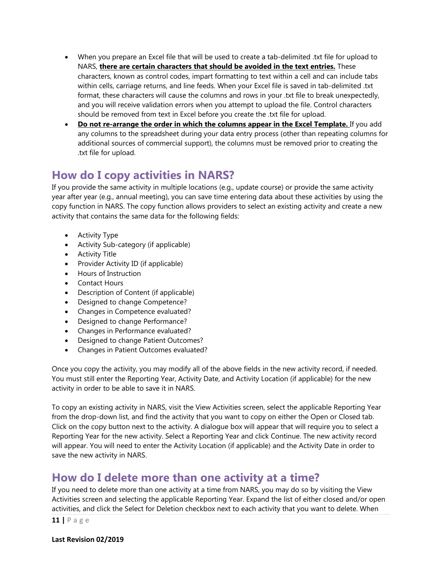- When you prepare an Excel file that will be used to create a tab-delimited .txt file for upload to NARS, **there are certain characters that should be avoided in the text entries.** These characters, known as control codes, impart formatting to text within a cell and can include tabs within cells, carriage returns, and line feeds. When your Excel file is saved in tab-delimited .txt format, these characters will cause the columns and rows in your .txt file to break unexpectedly, and you will receive validation errors when you attempt to upload the file. Control characters should be removed from text in Excel before you create the .txt file for upload.
- **Do not re-arrange the order in which the columns appear in the Excel Template.** If you add any columns to the spreadsheet during your data entry process (other than repeating columns for additional sources of commercial support), the columns must be removed prior to creating the .txt file for upload.

## **How do I copy activities in NARS?**

If you provide the same activity in multiple locations (e.g., update course) or provide the same activity year after year (e.g., annual meeting), you can save time entering data about these activities by using the copy function in NARS. The copy function allows providers to select an existing activity and create a new activity [that contains the same data for the following fields:](http://www.accme.org/node/6157)

- Activity Type
- Activity Sub-category (if applicable)
- Activity Title
- Provider Activity ID (if applicable)
- Hours of Instruction
- Contact Hours
- Description of Content (if applicable)
- Designed to change Competence?
- Changes in Competence evaluated?
- Designed to change Performance?
- Changes in Performance evaluated?
- Designed to change Patient Outcomes?
- Changes in Patient Outcomes evaluated?

Once you copy the activity, you may modify all of the above fields in the new activity record, if needed. You must still enter the Reporting Year, Activity Date, and Activity Location (if applicable) for the new activity in order to be able to save it in NARS.

To copy an existing activity in NARS, visit the View Activities screen, select the applicable Reporting Year from the drop-down list, and find the activity that you want to copy on either the Open or Closed tab. Click on the copy button next to the activity. A dialogue box will appear that will require you to select a Reporting Year for the new activity. Select a Reporting Year and click Continue. The new activity record will appear. You will need to enter the Activity Location (if applicable) and the Activity Date in order to save the new activity in NARS.

### **How do I delete more than one activity at a time?**

If you need to delete more than one activity at a time from NARS, you may do so by visiting the View Activities screen and selecting the applicable [Reporting Year.](http://www.accme.org/node/6133) Expand the list of either closed and/or open activities, and click the Select for Deletion checkbox next to each activity that you want to delete. When

**11 |** Page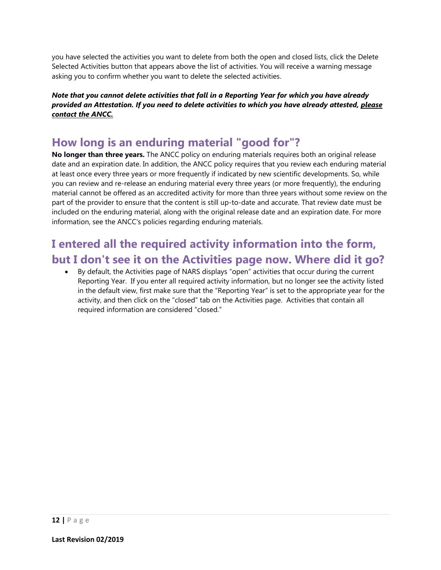you have selected the activities you want to delete from both the open and closed lists, click the Delete Selected Activities button that appears above the list of activities. You will receive a warning message asking you to confirm whether you want to delete the selected activities.

*Note that you cannot delete activities that fall in a Reporting Year for which you have already provided an Attestation. If you need to delete activities to which you have already attested, please contact the ANCC.*

### **How long is an enduring material "good for"?**

**No longer than three years.** The ANCC policy on enduring materials requires both an original release date and an expiration date. In addition, the ANCC policy requires that you review each enduring material at least once every three years or more frequently if indicated by new scientific developments. So, while you can review and re-release an enduring material every three years (or more frequently), the enduring material cannot be offered as an accredited activity for more than three years without some review on the part of the provider to ensure that the content is still up-to-date and accurate. That review date must be included on the enduring material, along with the original release date and an expiration date. For more information, see the ANCC's policies regarding enduring materials.

# **I entered all the required activity information into the form, but I don't see it on the Activities page now. Where did it go?**

• By default, the Activities page of NARS displays "open" activities that occur during the current [Reporting Year.](http://www.accme.org/node/6133) If you enter all required activity information, but no longer see the activity listed in the default view, first make sure that the "Reporting Year" is set to the appropriate year for the activity, and then click on the "closed" tab on the Activities page. Activities that contain all required information are considered "closed."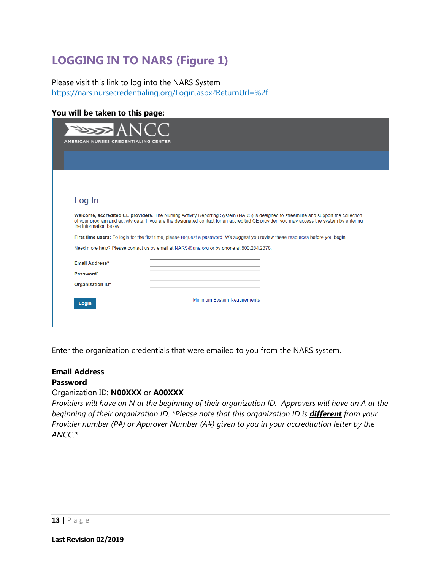# **LOGGING IN TO NARS (Figure 1)**

Please visit this link to log into the NARS System <https://nars.nursecredentialing.org/Login.aspx?ReturnUrl=%2f>

#### **You will be taken to this page:**

| ANCC                                        |                                                                                                                                                                                                                                                                                                                                                                                                                                                                                                                  |
|---------------------------------------------|------------------------------------------------------------------------------------------------------------------------------------------------------------------------------------------------------------------------------------------------------------------------------------------------------------------------------------------------------------------------------------------------------------------------------------------------------------------------------------------------------------------|
| <b>AMERICAN NURSES CREDENTIALING CENTER</b> |                                                                                                                                                                                                                                                                                                                                                                                                                                                                                                                  |
|                                             |                                                                                                                                                                                                                                                                                                                                                                                                                                                                                                                  |
|                                             |                                                                                                                                                                                                                                                                                                                                                                                                                                                                                                                  |
|                                             |                                                                                                                                                                                                                                                                                                                                                                                                                                                                                                                  |
| Log In                                      |                                                                                                                                                                                                                                                                                                                                                                                                                                                                                                                  |
| the information below                       | Welcome, accredited CE providers. The Nursing Activity Reporting System (NARS) is designed to streamline and support the collection<br>of your program and activity data. If you are the designated contact for an accredited CE provider, you may access the system by entering<br>First time users: To login for the first time, please request a password. We suggest you review these resources before you begin.<br>Need more help? Please contact us by email at NARS@ana.org or by phone at 800.284.2378. |
| Email Address*                              |                                                                                                                                                                                                                                                                                                                                                                                                                                                                                                                  |
| Password*                                   |                                                                                                                                                                                                                                                                                                                                                                                                                                                                                                                  |
| Organization ID*                            |                                                                                                                                                                                                                                                                                                                                                                                                                                                                                                                  |
|                                             |                                                                                                                                                                                                                                                                                                                                                                                                                                                                                                                  |
| Login                                       | <b>Minimum System Requirements</b>                                                                                                                                                                                                                                                                                                                                                                                                                                                                               |

Enter the organization credentials that were emailed to you from the NARS system.

#### **Email Address Password**

#### Organization ID: **N00XXX** or **A00XXX**

*Providers will have an N at the beginning of their organization ID. Approvers will have an A at the beginning of their organization ID.* \*Please note that this organization ID is *different* from your *Provider number (P#) or Approver Number (A#) given to you in your accreditation letter by the ANCC.\**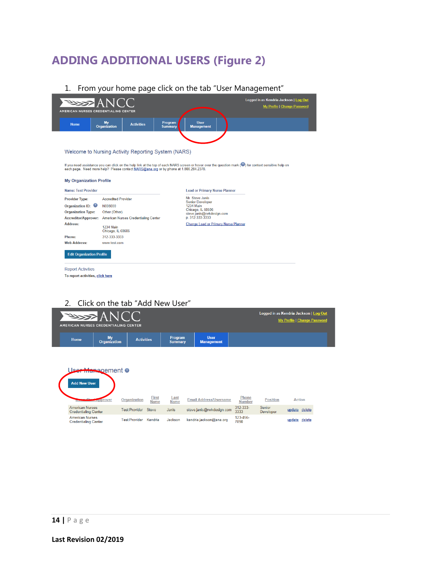# **ADDING ADDITIONAL USERS (Figure 2)**

1. From your home page click on the tab "User Management"

| Home                                                                                  | My<br>Organization                    | <b>Activities</b> | Program<br><b>Summary</b> | User<br><b>Management</b>                    |                                                                                                                                                        |  |
|---------------------------------------------------------------------------------------|---------------------------------------|-------------------|---------------------------|----------------------------------------------|--------------------------------------------------------------------------------------------------------------------------------------------------------|--|
|                                                                                       |                                       |                   |                           |                                              |                                                                                                                                                        |  |
|                                                                                       |                                       |                   |                           |                                              |                                                                                                                                                        |  |
| Welcome to Nursing Activity Reporting System (NARS)                                   |                                       |                   |                           |                                              |                                                                                                                                                        |  |
|                                                                                       |                                       |                   |                           |                                              | If you need assistance you can click on the help link at the top of each NARS screen or hover over the question mark (2) for context sensitive help on |  |
| each page. Need more help? Please contact NARS@ana.org or by phone at 1.800.284.2378. |                                       |                   |                           |                                              |                                                                                                                                                        |  |
|                                                                                       |                                       |                   |                           |                                              |                                                                                                                                                        |  |
| <b>My Organization Profile</b>                                                        |                                       |                   |                           |                                              |                                                                                                                                                        |  |
| <b>Name: Test Provider</b>                                                            |                                       |                   |                           | <b>Lead or Primary Nurse Planner</b>         |                                                                                                                                                        |  |
|                                                                                       |                                       |                   |                           |                                              |                                                                                                                                                        |  |
| <b>Provider Type:</b>                                                                 | <b>Accredited Provider</b>            |                   |                           | Mr. Steve Janis                              |                                                                                                                                                        |  |
| Organization ID:                                                                      | N008000                               |                   |                           | <b>Senior Developer</b><br><b>1234 Main</b>  |                                                                                                                                                        |  |
| <b>Organization Type:</b>                                                             | Other (Other)                         |                   |                           | Chicago, IL 60606                            |                                                                                                                                                        |  |
| <b>Accreditor/Approver:</b>                                                           | American Nurses Credentialing Center  |                   |                           | steve.janis@rwkdesign.com<br>p. 312-333-3333 |                                                                                                                                                        |  |
| <b>Address:</b>                                                                       | <b>1234 Main</b><br>Chicago, IL 60606 |                   |                           | <b>Change Lead or Primary Nurse Planner</b>  |                                                                                                                                                        |  |
| Phone:                                                                                | 312-333-3333                          |                   |                           |                                              |                                                                                                                                                        |  |
| <b>Web Address:</b>                                                                   | www.test.com                          |                   |                           |                                              |                                                                                                                                                        |  |
| <b>Edit Organization Profile</b>                                                      |                                       |                   |                           |                                              |                                                                                                                                                        |  |

#### 2. Click on the tab "Add New User"

 $\mathcal{L}$ 

| <b>PASSE ANCC</b><br>AMERICAN NURSES CREDENTIALING CENTER |                                       |                   |                           |                                  | Logged in as Kendria Jackson   Log Out<br>My Profile   Change Password |
|-----------------------------------------------------------|---------------------------------------|-------------------|---------------------------|----------------------------------|------------------------------------------------------------------------|
| Home                                                      | My<br><b>Organization</b>             | <b>Activities</b> | Program<br><b>Summary</b> | <b>User</b><br><b>Management</b> |                                                                        |
|                                                           | <u> Jse<del>r Man</del>ag</u> ement ● |                   |                           |                                  |                                                                        |

|                                                       | <b>Organization</b>  | <b>First</b><br><b>Name</b> | <u>Last</u><br><b>Name</b> | <b>Email Address/Username</b> | Phone<br><b>Number</b> | Position                          | <b>Action</b>    |
|-------------------------------------------------------|----------------------|-----------------------------|----------------------------|-------------------------------|------------------------|-----------------------------------|------------------|
| <b>American Nurses</b><br><b>Credentialing Center</b> | <b>Test Provider</b> | <b>Steve</b>                | Janis                      | steve.janis@rwkdesign.com     | 312-333-<br>3333       | <b>Senior</b><br><b>Developer</b> | delete<br>update |
| <b>American Nurses</b><br>Credentialing Center        | <b>Test Provider</b> | Kendria                     | Jackson                    | kendria.jackson@ana.org       | 123-456-<br>7890       |                                   | update delete    |

Add New User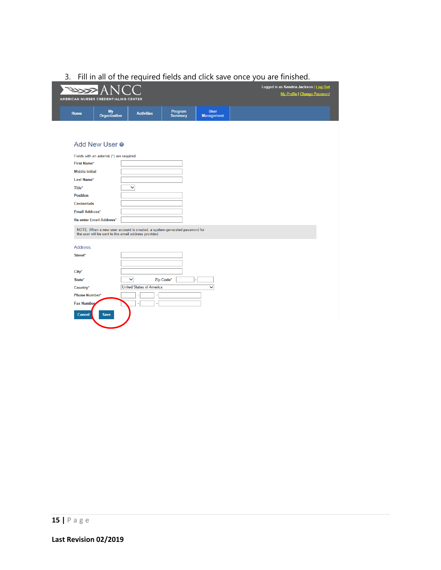#### 3. Fill in all of the required fields and click save once you are finished.

| كرولا                                |                                                                                                                                |                                                 |                |                   | Logged in as Kendria Jackson   Log Out |
|--------------------------------------|--------------------------------------------------------------------------------------------------------------------------------|-------------------------------------------------|----------------|-------------------|----------------------------------------|
| AMERICAN NURSES CREDENTIALING CENTER |                                                                                                                                |                                                 |                |                   | My Profile   Change Password           |
|                                      |                                                                                                                                |                                                 | Program        | <b>User</b>       |                                        |
| Home                                 | My<br>Organization                                                                                                             | <b>Activities</b>                               | <b>Summary</b> | <b>Management</b> |                                        |
|                                      |                                                                                                                                |                                                 |                |                   |                                        |
|                                      |                                                                                                                                |                                                 |                |                   |                                        |
|                                      | Add New User <sup>o</sup>                                                                                                      |                                                 |                |                   |                                        |
|                                      |                                                                                                                                |                                                 |                |                   |                                        |
|                                      | Fields with an asterisk (*) are required.                                                                                      |                                                 |                |                   |                                        |
| <b>First Name*</b>                   |                                                                                                                                |                                                 |                |                   |                                        |
| <b>Middle Initial</b>                |                                                                                                                                |                                                 |                |                   |                                        |
| Last Name*                           |                                                                                                                                |                                                 |                |                   |                                        |
| Title*                               |                                                                                                                                | $\checkmark$                                    |                |                   |                                        |
| <b>Position</b>                      |                                                                                                                                |                                                 |                |                   |                                        |
| <b>Credentials</b>                   |                                                                                                                                |                                                 |                |                   |                                        |
| Email Address*                       |                                                                                                                                |                                                 |                |                   |                                        |
|                                      | <b>Re-enter Email Address*</b>                                                                                                 |                                                 |                |                   |                                        |
|                                      | NOTE: When a new user account is created, a system-generated password for the user will be sent to the email address provided. |                                                 |                |                   |                                        |
|                                      |                                                                                                                                |                                                 |                |                   |                                        |
| <b>Address</b>                       |                                                                                                                                |                                                 |                |                   |                                        |
| Street*                              |                                                                                                                                |                                                 |                |                   |                                        |
|                                      |                                                                                                                                |                                                 |                |                   |                                        |
| $City*$                              |                                                                                                                                |                                                 |                |                   |                                        |
| State*                               |                                                                                                                                | $\checkmark$<br>Zip Code*                       |                |                   |                                        |
| Country*                             |                                                                                                                                | <b>United States of America</b><br>$\checkmark$ |                |                   |                                        |
| Phone Number*                        |                                                                                                                                |                                                 |                |                   |                                        |
| <b>Fax Number</b>                    |                                                                                                                                |                                                 |                |                   |                                        |
| Cancel                               | <b>Save</b>                                                                                                                    |                                                 |                |                   |                                        |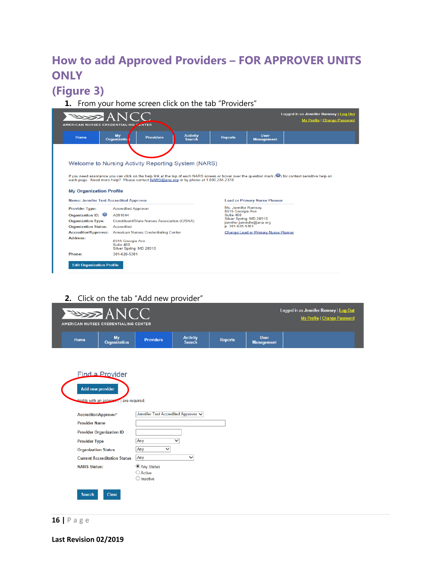# **How to add Approved Providers – FOR APPROVER UNITS ONLY**

# **(Figure 3)**

**1.** From your home screen click on the tab "Providers"

|                                                                                  | <b>PASSE ANCC</b><br>AMERICAN NURSES CREDENTIALING ZENTER                                                                                                                                                                                       |                                  |                                                       |                                             | Logged in as Jennifer Ramsey   Log Out<br>My Profile   Change Password |  |
|----------------------------------------------------------------------------------|-------------------------------------------------------------------------------------------------------------------------------------------------------------------------------------------------------------------------------------------------|----------------------------------|-------------------------------------------------------|---------------------------------------------|------------------------------------------------------------------------|--|
| <b>Home</b>                                                                      | My<br><b>Providers</b><br>Organizatio                                                                                                                                                                                                           | <b>Activity</b><br><b>Search</b> | <b>Reports</b>                                        | <b>User</b><br><b>Management</b>            |                                                                        |  |
|                                                                                  |                                                                                                                                                                                                                                                 |                                  |                                                       |                                             |                                                                        |  |
|                                                                                  | Welcome to Nursing Activity Reporting System (NARS)                                                                                                                                                                                             |                                  |                                                       |                                             |                                                                        |  |
| <b>My Organization Profile</b><br><b>Name: Jennifer Test Accredited Approver</b> | If you need assistance you can click on the help link at the top of each NARS screen or hover over the question mark (4) for context sensitive help on<br>each page. Need more help? Please contact NARS@ana.org or by phone at 1.800.284.2378. |                                  |                                                       | <b>Lead or Primary Nurse Planner</b>        |                                                                        |  |
| <b>Provider Type:</b>                                                            | <b>Accredited Approver</b>                                                                                                                                                                                                                      |                                  | Ms. Jennifer Ramsey                                   |                                             |                                                                        |  |
| Organization ID:                                                                 | A001044                                                                                                                                                                                                                                         |                                  | 8515 Georgia Ave<br>Suite 400                         |                                             |                                                                        |  |
| <b>Organization Type:</b>                                                        | Constituent/State Nurses Association (C/SNA)                                                                                                                                                                                                    |                                  | Silver Spring, MD 20910<br>jennifer.janniello@ana.org |                                             |                                                                        |  |
| <b>Organization Status:</b>                                                      | Accredited                                                                                                                                                                                                                                      |                                  | p. 301-628-5301                                       |                                             |                                                                        |  |
|                                                                                  | American Nurses Credentialing Center                                                                                                                                                                                                            |                                  |                                                       | <b>Change Lead or Primary Nurse Planner</b> |                                                                        |  |
| <b>Accreditor/Approver:</b>                                                      | 8515 Georgia Ave<br>Suite 400<br>Silver Spring, MD 20910                                                                                                                                                                                        |                                  |                                                       |                                             |                                                                        |  |
| <b>Address:</b>                                                                  |                                                                                                                                                                                                                                                 |                                  |                                                       |                                             |                                                                        |  |
| Phone:                                                                           | 301-628-5301                                                                                                                                                                                                                                    |                                  |                                                       |                                             |                                                                        |  |

**2.** Click on the tab "Add new provider"

| <b>PASSE ANCC</b><br>AMERICAN NURSES CREDENTIALING CENTER |                                                              |                                                        |                                  |                |                                  | Logged in as Jennifer Ramsey   Log Out<br>My Profile   Change Password |
|-----------------------------------------------------------|--------------------------------------------------------------|--------------------------------------------------------|----------------------------------|----------------|----------------------------------|------------------------------------------------------------------------|
| <b>Home</b>                                               | <b>My</b><br>Organization                                    | <b>Providers</b>                                       | <b>Activity</b><br><b>Search</b> | <b>Reports</b> | <b>User</b><br><b>Management</b> |                                                                        |
| Add new provider                                          | Find a Provider<br>Eields with an asterisk (1) are required. |                                                        |                                  |                |                                  |                                                                        |
| Accreditor/Approver*                                      |                                                              | Jennifer Test Accredited Approver V                    |                                  |                |                                  |                                                                        |
| <b>Provider Name</b>                                      |                                                              |                                                        |                                  |                |                                  |                                                                        |
|                                                           | <b>Provider Organization ID</b>                              |                                                        |                                  |                |                                  |                                                                        |
| <b>Provider Type</b>                                      |                                                              | Any                                                    | $\checkmark$                     |                |                                  |                                                                        |
| <b>Organization Status</b>                                |                                                              | Any<br>v                                               |                                  |                |                                  |                                                                        |
|                                                           | <b>Current Accreditation Status</b>                          | Any                                                    | $\checkmark$                     |                |                                  |                                                                        |
| <b>NARS Status:</b>                                       |                                                              | Any Status<br>$\bigcirc$ Active<br>$\bigcirc$ Inactive |                                  |                |                                  |                                                                        |
| <b>Search</b>                                             | <b>Clear</b>                                                 |                                                        |                                  |                |                                  |                                                                        |

**16 |** Page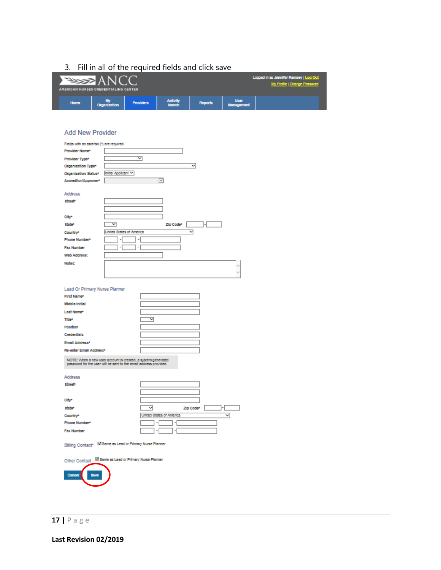### 3. Fill in all of the required fields and click save

| AMERICAN NURSES CREDENTIALING CENTER | <b>ELECTRIC ANCO</b> |                  |                    |         |                           | Logged in as Jennifer Ramcey   Log Out<br>My Profile   Change Password |
|--------------------------------------|----------------------|------------------|--------------------|---------|---------------------------|------------------------------------------------------------------------|
| Home                                 | <b>Organization</b>  | <b>Providers</b> | Activity<br>Search | Reports | <b>Ucer</b><br>Management |                                                                        |

#### **Add New Provider**

| Fields with an asterisk (*) are required.    |                                                                                                                                   |  |  |  |  |
|----------------------------------------------|-----------------------------------------------------------------------------------------------------------------------------------|--|--|--|--|
| Provider Name*                               |                                                                                                                                   |  |  |  |  |
| Provider Type*                               | ▽                                                                                                                                 |  |  |  |  |
| Organization Type <sup>*</sup>               | v                                                                                                                                 |  |  |  |  |
| Organization Status*                         | Initial Applicant V                                                                                                               |  |  |  |  |
| Accreditor/Approver*                         | $\mathbf{L}$                                                                                                                      |  |  |  |  |
|                                              |                                                                                                                                   |  |  |  |  |
| Address                                      |                                                                                                                                   |  |  |  |  |
| street*                                      |                                                                                                                                   |  |  |  |  |
|                                              |                                                                                                                                   |  |  |  |  |
|                                              |                                                                                                                                   |  |  |  |  |
| City*                                        |                                                                                                                                   |  |  |  |  |
| state*                                       | v<br>Zip Code*                                                                                                                    |  |  |  |  |
| Country*                                     | ▽<br><b>United States of America</b>                                                                                              |  |  |  |  |
| Phone Number*                                |                                                                                                                                   |  |  |  |  |
| <b>Fax Number</b>                            | ٠                                                                                                                                 |  |  |  |  |
| Web Address:                                 |                                                                                                                                   |  |  |  |  |
| Notes:                                       |                                                                                                                                   |  |  |  |  |
|                                              |                                                                                                                                   |  |  |  |  |
|                                              |                                                                                                                                   |  |  |  |  |
|                                              |                                                                                                                                   |  |  |  |  |
| Lead Or Primary Nurse Planner<br>First Name* |                                                                                                                                   |  |  |  |  |
| <b>Middle Initial</b>                        |                                                                                                                                   |  |  |  |  |
|                                              |                                                                                                                                   |  |  |  |  |
| Last Name*                                   |                                                                                                                                   |  |  |  |  |
| Title*                                       | ▽                                                                                                                                 |  |  |  |  |
| Position                                     |                                                                                                                                   |  |  |  |  |
| Credentials                                  |                                                                                                                                   |  |  |  |  |
| Email Address*                               |                                                                                                                                   |  |  |  |  |
| Re-enter Email Address*                      |                                                                                                                                   |  |  |  |  |
|                                              | NOTE: When a new user account is created, a system-generated<br>password for the user will be sent to the email address provided. |  |  |  |  |
| Address                                      |                                                                                                                                   |  |  |  |  |
| <b>Street</b> *                              |                                                                                                                                   |  |  |  |  |
|                                              |                                                                                                                                   |  |  |  |  |
| City*                                        |                                                                                                                                   |  |  |  |  |
| State*                                       | ◡<br>Zip Code*                                                                                                                    |  |  |  |  |
|                                              | United States of America<br>v                                                                                                     |  |  |  |  |
| Country*<br>Phone Number*                    | ٠                                                                                                                                 |  |  |  |  |
|                                              |                                                                                                                                   |  |  |  |  |
| <b>Fax Number</b>                            |                                                                                                                                   |  |  |  |  |
|                                              | Billing Contact <sup>+</sup> M Same as Lead or Primary Nurse Planner                                                              |  |  |  |  |
| Other Contact                                | M Same as Lead or Primary Nurse Planner                                                                                           |  |  |  |  |
| <b>Save</b><br>Cancel                        |                                                                                                                                   |  |  |  |  |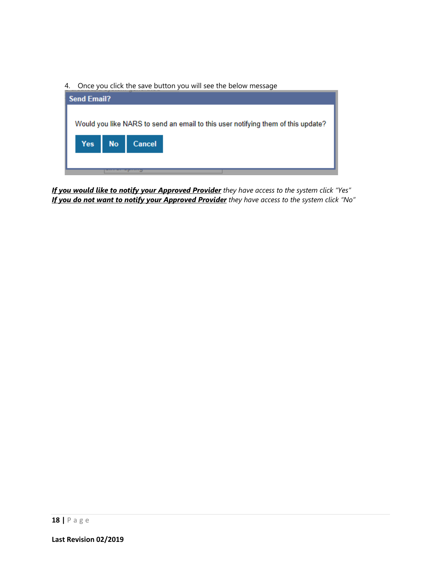4. Once you click the save button you will see the below message

| <b>Send Email?</b>                                                               |        |  |  |  |
|----------------------------------------------------------------------------------|--------|--|--|--|
|                                                                                  |        |  |  |  |
| Would you like NARS to send an email to this user notifying them of this update? |        |  |  |  |
|                                                                                  |        |  |  |  |
| Yes No                                                                           | Cancel |  |  |  |
|                                                                                  |        |  |  |  |
|                                                                                  |        |  |  |  |

*If you would like to notify your Approved Provider they have access to the system click "Yes" If you do not want to notify your Approved Provider they have access to the system click "No"*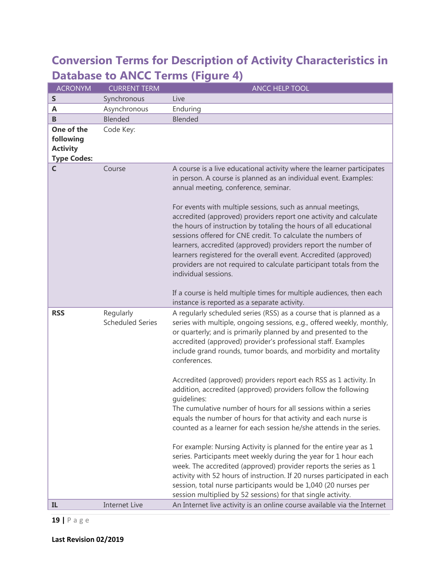# **Conversion Terms for Description of Activity Characteristics in Database to ANCC Terms (Figure 4)**

| <b>ACRONYM</b>                                                   | <b>CURRENT TERM</b>                  | <b>ANCC HELP TOOL</b>                                                                                                                                                                                                                                                                                                                                                                                                                                                                                                                                                                                                                                                                                                                                                                                                                                                                                                                                                                                                                                                                                                                                             |
|------------------------------------------------------------------|--------------------------------------|-------------------------------------------------------------------------------------------------------------------------------------------------------------------------------------------------------------------------------------------------------------------------------------------------------------------------------------------------------------------------------------------------------------------------------------------------------------------------------------------------------------------------------------------------------------------------------------------------------------------------------------------------------------------------------------------------------------------------------------------------------------------------------------------------------------------------------------------------------------------------------------------------------------------------------------------------------------------------------------------------------------------------------------------------------------------------------------------------------------------------------------------------------------------|
| $\sf S$                                                          | Synchronous                          | Live                                                                                                                                                                                                                                                                                                                                                                                                                                                                                                                                                                                                                                                                                                                                                                                                                                                                                                                                                                                                                                                                                                                                                              |
| A                                                                | Asynchronous                         | Enduring                                                                                                                                                                                                                                                                                                                                                                                                                                                                                                                                                                                                                                                                                                                                                                                                                                                                                                                                                                                                                                                                                                                                                          |
| B                                                                | Blended                              | Blended                                                                                                                                                                                                                                                                                                                                                                                                                                                                                                                                                                                                                                                                                                                                                                                                                                                                                                                                                                                                                                                                                                                                                           |
| One of the<br>following<br><b>Activity</b><br><b>Type Codes:</b> | Code Key:                            |                                                                                                                                                                                                                                                                                                                                                                                                                                                                                                                                                                                                                                                                                                                                                                                                                                                                                                                                                                                                                                                                                                                                                                   |
| C                                                                | Course                               | A course is a live educational activity where the learner participates<br>in person. A course is planned as an individual event. Examples:<br>annual meeting, conference, seminar.<br>For events with multiple sessions, such as annual meetings,<br>accredited (approved) providers report one activity and calculate<br>the hours of instruction by totaling the hours of all educational<br>sessions offered for CNE credit. To calculate the numbers of<br>learners, accredited (approved) providers report the number of<br>learners registered for the overall event. Accredited (approved)<br>providers are not required to calculate participant totals from the<br>individual sessions.                                                                                                                                                                                                                                                                                                                                                                                                                                                                  |
|                                                                  |                                      | If a course is held multiple times for multiple audiences, then each<br>instance is reported as a separate activity.                                                                                                                                                                                                                                                                                                                                                                                                                                                                                                                                                                                                                                                                                                                                                                                                                                                                                                                                                                                                                                              |
| <b>RSS</b>                                                       | Regularly<br><b>Scheduled Series</b> | A regularly scheduled series (RSS) as a course that is planned as a<br>series with multiple, ongoing sessions, e.g., offered weekly, monthly,<br>or quarterly; and is primarily planned by and presented to the<br>accredited (approved) provider's professional staff. Examples<br>include grand rounds, tumor boards, and morbidity and mortality<br>conferences.<br>Accredited (approved) providers report each RSS as 1 activity. In<br>addition, accredited (approved) providers follow the following<br>quidelines:<br>The cumulative number of hours for all sessions within a series<br>equals the number of hours for that activity and each nurse is<br>counted as a learner for each session he/she attends in the series.<br>For example: Nursing Activity is planned for the entire year as 1<br>series. Participants meet weekly during the year for 1 hour each<br>week. The accredited (approved) provider reports the series as 1<br>activity with 52 hours of instruction. If 20 nurses participated in each<br>session, total nurse participants would be 1,040 (20 nurses per<br>session multiplied by 52 sessions) for that single activity. |
| IL                                                               | <b>Internet Live</b>                 | An Internet live activity is an online course available via the Internet                                                                                                                                                                                                                                                                                                                                                                                                                                                                                                                                                                                                                                                                                                                                                                                                                                                                                                                                                                                                                                                                                          |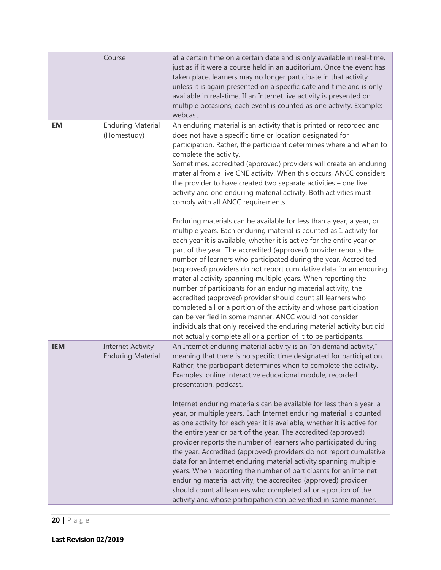|            | Course                                               | at a certain time on a certain date and is only available in real-time,<br>just as if it were a course held in an auditorium. Once the event has<br>taken place, learners may no longer participate in that activity<br>unless it is again presented on a specific date and time and is only<br>available in real-time. If an Internet live activity is presented on<br>multiple occasions, each event is counted as one activity. Example:<br>webcast.                                                                                                                                                                                                                                                                                                                                                                                                                                                                                                                                                                                                                                       |
|------------|------------------------------------------------------|-----------------------------------------------------------------------------------------------------------------------------------------------------------------------------------------------------------------------------------------------------------------------------------------------------------------------------------------------------------------------------------------------------------------------------------------------------------------------------------------------------------------------------------------------------------------------------------------------------------------------------------------------------------------------------------------------------------------------------------------------------------------------------------------------------------------------------------------------------------------------------------------------------------------------------------------------------------------------------------------------------------------------------------------------------------------------------------------------|
| <b>EM</b>  | <b>Enduring Material</b><br>(Homestudy)              | An enduring material is an activity that is printed or recorded and<br>does not have a specific time or location designated for<br>participation. Rather, the participant determines where and when to<br>complete the activity.<br>Sometimes, accredited (approved) providers will create an enduring<br>material from a live CNE activity. When this occurs, ANCC considers<br>the provider to have created two separate activities - one live<br>activity and one enduring material activity. Both activities must<br>comply with all ANCC requirements.                                                                                                                                                                                                                                                                                                                                                                                                                                                                                                                                   |
|            |                                                      | Enduring materials can be available for less than a year, a year, or<br>multiple years. Each enduring material is counted as 1 activity for<br>each year it is available, whether it is active for the entire year or<br>part of the year. The accredited (approved) provider reports the<br>number of learners who participated during the year. Accredited<br>(approved) providers do not report cumulative data for an enduring<br>material activity spanning multiple years. When reporting the<br>number of participants for an enduring material activity, the<br>accredited (approved) provider should count all learners who<br>completed all or a portion of the activity and whose participation<br>can be verified in some manner. ANCC would not consider<br>individuals that only received the enduring material activity but did<br>not actually complete all or a portion of it to be participants.                                                                                                                                                                            |
| <b>IEM</b> | <b>Internet Activity</b><br><b>Enduring Material</b> | An Internet enduring material activity is an "on demand activity,"<br>meaning that there is no specific time designated for participation.<br>Rather, the participant determines when to complete the activity.<br>Examples: online interactive educational module, recorded<br>presentation, podcast.<br>Internet enduring materials can be available for less than a year, a<br>year, or multiple years. Each Internet enduring material is counted<br>as one activity for each year it is available, whether it is active for<br>the entire year or part of the year. The accredited (approved)<br>provider reports the number of learners who participated during<br>the year. Accredited (approved) providers do not report cumulative<br>data for an Internet enduring material activity spanning multiple<br>years. When reporting the number of participants for an internet<br>enduring material activity, the accredited (approved) provider<br>should count all learners who completed all or a portion of the<br>activity and whose participation can be verified in some manner. |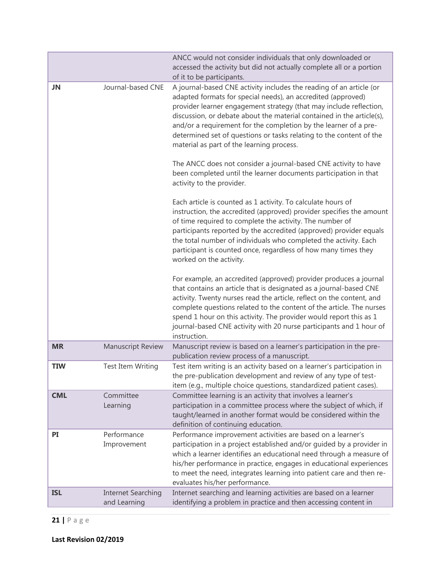|            |                                           | ANCC would not consider individuals that only downloaded or<br>accessed the activity but did not actually complete all or a portion                                                                                                                                                                                                                                                                                                                                                                                                           |
|------------|-------------------------------------------|-----------------------------------------------------------------------------------------------------------------------------------------------------------------------------------------------------------------------------------------------------------------------------------------------------------------------------------------------------------------------------------------------------------------------------------------------------------------------------------------------------------------------------------------------|
|            |                                           | of it to be participants.                                                                                                                                                                                                                                                                                                                                                                                                                                                                                                                     |
| JN         | Journal-based CNE                         | A journal-based CNE activity includes the reading of an article (or<br>adapted formats for special needs), an accredited (approved)<br>provider learner engagement strategy (that may include reflection,<br>discussion, or debate about the material contained in the article(s),<br>and/or a requirement for the completion by the learner of a pre-<br>determined set of questions or tasks relating to the content of the<br>material as part of the learning process.<br>The ANCC does not consider a journal-based CNE activity to have |
|            |                                           | been completed until the learner documents participation in that<br>activity to the provider.                                                                                                                                                                                                                                                                                                                                                                                                                                                 |
|            |                                           | Each article is counted as 1 activity. To calculate hours of<br>instruction, the accredited (approved) provider specifies the amount<br>of time required to complete the activity. The number of<br>participants reported by the accredited (approved) provider equals<br>the total number of individuals who completed the activity. Each<br>participant is counted once, regardless of how many times they<br>worked on the activity.                                                                                                       |
|            |                                           | For example, an accredited (approved) provider produces a journal<br>that contains an article that is designated as a journal-based CNE<br>activity. Twenty nurses read the article, reflect on the content, and<br>complete questions related to the content of the article. The nurses<br>spend 1 hour on this activity. The provider would report this as 1<br>journal-based CNE activity with 20 nurse participants and 1 hour of<br>instruction.                                                                                         |
| <b>MR</b>  | <b>Manuscript Review</b>                  | Manuscript review is based on a learner's participation in the pre-<br>publication review process of a manuscript.                                                                                                                                                                                                                                                                                                                                                                                                                            |
| <b>TIW</b> | Test Item Writing                         | Test item writing is an activity based on a learner's participation in<br>the pre-publication development and review of any type of test-<br>item (e.g., multiple choice questions, standardized patient cases).                                                                                                                                                                                                                                                                                                                              |
| <b>CML</b> | Committee<br>Learning                     | Committee learning is an activity that involves a learner's<br>participation in a committee process where the subject of which, if<br>taught/learned in another format would be considered within the<br>definition of continuing education.                                                                                                                                                                                                                                                                                                  |
| PI         | Performance<br>Improvement                | Performance improvement activities are based on a learner's<br>participation in a project established and/or guided by a provider in<br>which a learner identifies an educational need through a measure of<br>his/her performance in practice, engages in educational experiences<br>to meet the need, integrates learning into patient care and then re-<br>evaluates his/her performance.                                                                                                                                                  |
| <b>ISL</b> | <b>Internet Searching</b><br>and Learning | Internet searching and learning activities are based on a learner<br>identifying a problem in practice and then accessing content in                                                                                                                                                                                                                                                                                                                                                                                                          |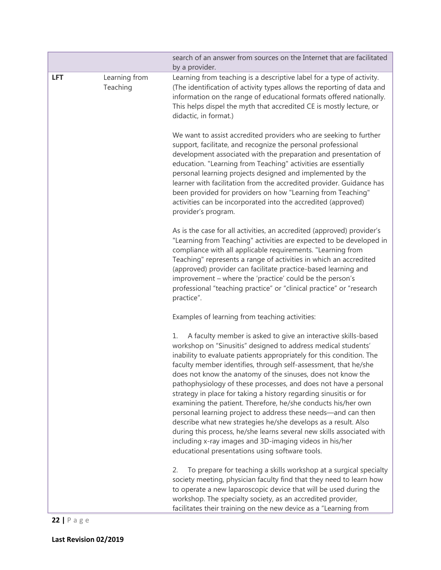|            |                           | search of an answer from sources on the Internet that are facilitated<br>by a provider.                                                                                                                                                                                                                                                                                                                                                                                                                                                                                                                                                                                                                                                                                                                                                                                            |  |  |
|------------|---------------------------|------------------------------------------------------------------------------------------------------------------------------------------------------------------------------------------------------------------------------------------------------------------------------------------------------------------------------------------------------------------------------------------------------------------------------------------------------------------------------------------------------------------------------------------------------------------------------------------------------------------------------------------------------------------------------------------------------------------------------------------------------------------------------------------------------------------------------------------------------------------------------------|--|--|
| <b>LFT</b> | Learning from<br>Teaching | Learning from teaching is a descriptive label for a type of activity.<br>(The identification of activity types allows the reporting of data and<br>information on the range of educational formats offered nationally.<br>This helps dispel the myth that accredited CE is mostly lecture, or<br>didactic, in format.)                                                                                                                                                                                                                                                                                                                                                                                                                                                                                                                                                             |  |  |
|            |                           | We want to assist accredited providers who are seeking to further<br>support, facilitate, and recognize the personal professional<br>development associated with the preparation and presentation of<br>education. "Learning from Teaching" activities are essentially<br>personal learning projects designed and implemented by the<br>learner with facilitation from the accredited provider. Guidance has<br>been provided for providers on how "Learning from Teaching"<br>activities can be incorporated into the accredited (approved)<br>provider's program.                                                                                                                                                                                                                                                                                                                |  |  |
|            |                           | As is the case for all activities, an accredited (approved) provider's<br>"Learning from Teaching" activities are expected to be developed in<br>compliance with all applicable requirements. "Learning from<br>Teaching" represents a range of activities in which an accredited<br>(approved) provider can facilitate practice-based learning and<br>improvement - where the 'practice' could be the person's<br>professional "teaching practice" or "clinical practice" or "research<br>practice".                                                                                                                                                                                                                                                                                                                                                                              |  |  |
|            |                           | Examples of learning from teaching activities:                                                                                                                                                                                                                                                                                                                                                                                                                                                                                                                                                                                                                                                                                                                                                                                                                                     |  |  |
|            |                           | A faculty member is asked to give an interactive skills-based<br>1.<br>workshop on "Sinusitis" designed to address medical students'<br>inability to evaluate patients appropriately for this condition. The<br>faculty member identifies, through self-assessment, that he/she<br>does not know the anatomy of the sinuses, does not know the<br>pathophysiology of these processes, and does not have a personal<br>strategy in place for taking a history regarding sinusitis or for<br>examining the patient. Therefore, he/she conducts his/her own<br>personal learning project to address these needs-and can then<br>describe what new strategies he/she develops as a result. Also<br>during this process, he/she learns several new skills associated with<br>including x-ray images and 3D-imaging videos in his/her<br>educational presentations using software tools. |  |  |
|            |                           | To prepare for teaching a skills workshop at a surgical specialty<br>2.<br>society meeting, physician faculty find that they need to learn how<br>to operate a new laparoscopic device that will be used during the<br>workshop. The specialty society, as an accredited provider,<br>facilitates their training on the new device as a "Learning from                                                                                                                                                                                                                                                                                                                                                                                                                                                                                                                             |  |  |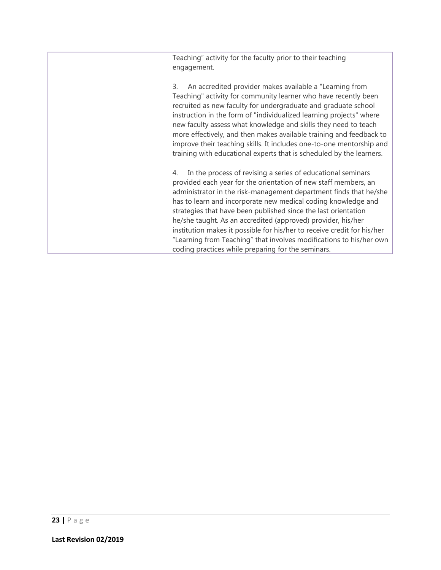Teaching" activity for the faculty prior to their teaching engagement.

3. An accredited provider makes available a "Learning from Teaching" activity for community learner who have recently been recruited as new faculty for undergraduate and graduate school instruction in the form of "individualized learning projects" where new faculty assess what knowledge and skills they need to teach more effectively, and then makes available training and feedback to improve their teaching skills. It includes one-to-one mentorship and training with educational experts that is scheduled by the learners.

4. In the process of revising a series of educational seminars provided each year for the orientation of new staff members, an administrator in the risk-management department finds that he/she has to learn and incorporate new medical coding knowledge and strategies that have been published since the last orientation he/she taught. As an accredited (approved) provider, his/her institution makes it possible for his/her to receive credit for his/her "Learning from Teaching" that involves modifications to his/her own coding practices while preparing for the seminars.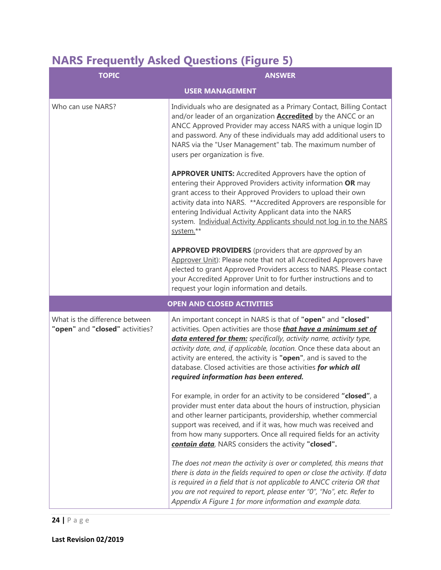# **NARS Frequently Asked Questions (Figure 5)**

| <b>TOPIC</b>                                                      | <b>ANSWER</b>                                                                                                                                                                                                                                                                                                                                                                                                                                                          |  |  |  |
|-------------------------------------------------------------------|------------------------------------------------------------------------------------------------------------------------------------------------------------------------------------------------------------------------------------------------------------------------------------------------------------------------------------------------------------------------------------------------------------------------------------------------------------------------|--|--|--|
|                                                                   | <b>USER MANAGEMENT</b>                                                                                                                                                                                                                                                                                                                                                                                                                                                 |  |  |  |
| Who can use NARS?                                                 | Individuals who are designated as a Primary Contact, Billing Contact<br>and/or leader of an organization <b>Accredited</b> by the ANCC or an<br>ANCC Approved Provider may access NARS with a unique login ID<br>and password. Any of these individuals may add additional users to<br>NARS via the "User Management" tab. The maximum number of<br>users per organization is five.                                                                                    |  |  |  |
|                                                                   | <b>APPROVER UNITS:</b> Accredited Approvers have the option of<br>entering their Approved Providers activity information OR may<br>grant access to their Approved Providers to upload their own<br>activity data into NARS. ** Accredited Approvers are responsible for<br>entering Individual Activity Applicant data into the NARS<br>system. Individual Activity Applicants should not log in to the NARS<br>system.**                                              |  |  |  |
|                                                                   | <b>APPROVED PROVIDERS</b> (providers that are approved by an<br>Approver Unit): Please note that not all Accredited Approvers have<br>elected to grant Approved Providers access to NARS. Please contact<br>your Accredited Approver Unit to for further instructions and to<br>request your login information and details.                                                                                                                                            |  |  |  |
|                                                                   | <b>OPEN AND CLOSED ACTIVITIES</b>                                                                                                                                                                                                                                                                                                                                                                                                                                      |  |  |  |
| What is the difference between<br>"open" and "closed" activities? | An important concept in NARS is that of "open" and "closed"<br>activities. Open activities are those <i>that have a minimum set of</i><br>data entered for them: specifically, activity name, activity type,<br>activity date, and, if applicable, location. Once these data about an<br>activity are entered, the activity is "open", and is saved to the<br>database. Closed activities are those activities for which all<br>required information has been entered. |  |  |  |
|                                                                   | For example, in order for an activity to be considered "closed", a<br>provider must enter data about the hours of instruction, physician<br>and other learner participants, providership, whether commercial<br>support was received, and if it was, how much was received and<br>from how many supporters. Once all required fields for an activity<br>contain data, NARS considers the activity "closed".                                                            |  |  |  |
|                                                                   | The does not mean the activity is over or completed, this means that<br>there is data in the fields required to open or close the activity. If data<br>is required in a field that is not applicable to ANCC criteria OR that<br>you are not required to report, please enter "0", "No", etc. Refer to<br>Appendix A Figure 1 for more information and example data.                                                                                                   |  |  |  |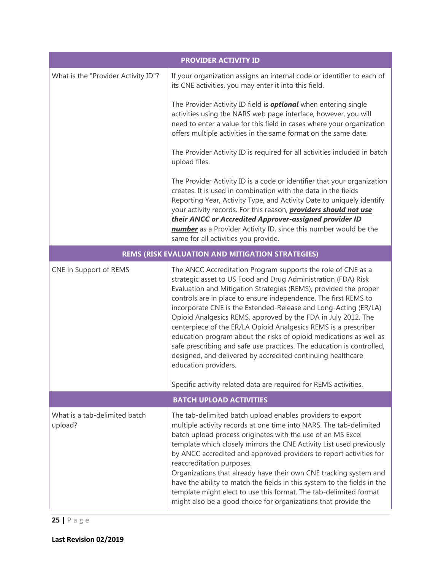|                                          | <b>PROVIDER ACTIVITY ID</b>                                                                                                                                                                                                                                                                                                                                                                                                                                                                                                                                                                                                                                                                                       |  |  |  |  |
|------------------------------------------|-------------------------------------------------------------------------------------------------------------------------------------------------------------------------------------------------------------------------------------------------------------------------------------------------------------------------------------------------------------------------------------------------------------------------------------------------------------------------------------------------------------------------------------------------------------------------------------------------------------------------------------------------------------------------------------------------------------------|--|--|--|--|
| What is the "Provider Activity ID"?      | If your organization assigns an internal code or identifier to each of<br>its CNE activities, you may enter it into this field.                                                                                                                                                                                                                                                                                                                                                                                                                                                                                                                                                                                   |  |  |  |  |
|                                          | The Provider Activity ID field is <b>optional</b> when entering single<br>activities using the NARS web page interface, however, you will<br>need to enter a value for this field in cases where your organization<br>offers multiple activities in the same format on the same date.                                                                                                                                                                                                                                                                                                                                                                                                                             |  |  |  |  |
|                                          | The Provider Activity ID is required for all activities included in batch<br>upload files.                                                                                                                                                                                                                                                                                                                                                                                                                                                                                                                                                                                                                        |  |  |  |  |
|                                          | The Provider Activity ID is a code or identifier that your organization<br>creates. It is used in combination with the data in the fields<br>Reporting Year, Activity Type, and Activity Date to uniquely identify<br>your activity records. For this reason, <b>providers should not use</b><br>their ANCC or Accredited Approver-assigned provider ID<br>number as a Provider Activity ID, since this number would be the<br>same for all activities you provide.                                                                                                                                                                                                                                               |  |  |  |  |
|                                          | <b>REMS (RISK EVALUATION AND MITIGATION STRATEGIES)</b>                                                                                                                                                                                                                                                                                                                                                                                                                                                                                                                                                                                                                                                           |  |  |  |  |
| CNE in Support of REMS                   | The ANCC Accreditation Program supports the role of CNE as a<br>strategic asset to US Food and Drug Administration (FDA) Risk<br>Evaluation and Mitigation Strategies (REMS), provided the proper<br>controls are in place to ensure independence. The first REMS to<br>incorporate CNE is the Extended-Release and Long-Acting (ER/LA)<br>Opioid Analgesics REMS, approved by the FDA in July 2012. The<br>centerpiece of the ER/LA Opioid Analgesics REMS is a prescriber<br>education program about the risks of opioid medications as well as<br>safe prescribing and safe use practices. The education is controlled,<br>designed, and delivered by accredited continuing healthcare<br>education providers. |  |  |  |  |
|                                          | Specific activity related data are required for REMS activities.                                                                                                                                                                                                                                                                                                                                                                                                                                                                                                                                                                                                                                                  |  |  |  |  |
|                                          | <b>BATCH UPLOAD ACTIVITIES</b>                                                                                                                                                                                                                                                                                                                                                                                                                                                                                                                                                                                                                                                                                    |  |  |  |  |
| What is a tab-delimited batch<br>upload? | The tab-delimited batch upload enables providers to export<br>multiple activity records at one time into NARS. The tab-delimited<br>batch upload process originates with the use of an MS Excel<br>template which closely mirrors the CNE Activity List used previously<br>by ANCC accredited and approved providers to report activities for<br>reaccreditation purposes.<br>Organizations that already have their own CNE tracking system and<br>have the ability to match the fields in this system to the fields in the<br>template might elect to use this format. The tab-delimited format<br>might also be a good choice for organizations that provide the                                                |  |  |  |  |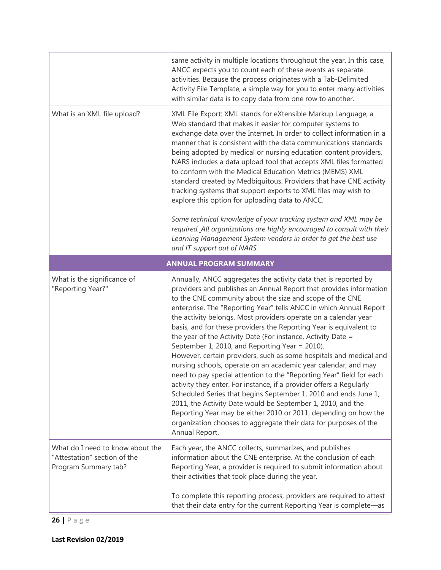|                                                                                          | same activity in multiple locations throughout the year. In this case,<br>ANCC expects you to count each of these events as separate<br>activities. Because the process originates with a Tab-Delimited<br>Activity File Template, a simple way for you to enter many activities<br>with similar data is to copy data from one row to another.                                                                                                                                                                                                                                                                                                                                                                                                                                                                                                                                                                                                                                                                                                                                                                       |  |  |
|------------------------------------------------------------------------------------------|----------------------------------------------------------------------------------------------------------------------------------------------------------------------------------------------------------------------------------------------------------------------------------------------------------------------------------------------------------------------------------------------------------------------------------------------------------------------------------------------------------------------------------------------------------------------------------------------------------------------------------------------------------------------------------------------------------------------------------------------------------------------------------------------------------------------------------------------------------------------------------------------------------------------------------------------------------------------------------------------------------------------------------------------------------------------------------------------------------------------|--|--|
| What is an XML file upload?                                                              | XML File Export: XML stands for eXtensible Markup Language, a<br>Web standard that makes it easier for computer systems to<br>exchange data over the Internet. In order to collect information in a<br>manner that is consistent with the data communications standards<br>being adopted by medical or nursing education content providers,<br>NARS includes a data upload tool that accepts XML files formatted<br>to conform with the Medical Education Metrics (MEMS) XML<br>standard created by Medbiquitous. Providers that have CNE activity<br>tracking systems that support exports to XML files may wish to<br>explore this option for uploading data to ANCC.<br>Some technical knowledge of your tracking system and XML may be<br>required. All organizations are highly encouraged to consult with their<br>Learning Management System vendors in order to get the best use                                                                                                                                                                                                                             |  |  |
|                                                                                          | and IT support out of NARS.<br><b>ANNUAL PROGRAM SUMMARY</b>                                                                                                                                                                                                                                                                                                                                                                                                                                                                                                                                                                                                                                                                                                                                                                                                                                                                                                                                                                                                                                                         |  |  |
| What is the significance of<br>"Reporting Year?"                                         | Annually, ANCC aggregates the activity data that is reported by<br>providers and publishes an Annual Report that provides information<br>to the CNE community about the size and scope of the CNE<br>enterprise. The "Reporting Year" tells ANCC in which Annual Report<br>the activity belongs. Most providers operate on a calendar year<br>basis, and for these providers the Reporting Year is equivalent to<br>the year of the Activity Date (For instance, Activity Date =<br>September 1, 2010, and Reporting Year = 2010).<br>However, certain providers, such as some hospitals and medical and<br>nursing schools, operate on an academic year calendar, and may<br>need to pay special attention to the "Reporting Year" field for each<br>activity they enter. For instance, if a provider offers a Regularly<br>Scheduled Series that begins September 1, 2010 and ends June 1,<br>2011, the Activity Date would be September 1, 2010, and the<br>Reporting Year may be either 2010 or 2011, depending on how the<br>organization chooses to aggregate their data for purposes of the<br>Annual Report. |  |  |
| What do I need to know about the<br>"Attestation" section of the<br>Program Summary tab? | Each year, the ANCC collects, summarizes, and publishes<br>information about the CNE enterprise. At the conclusion of each<br>Reporting Year, a provider is required to submit information about<br>their activities that took place during the year.                                                                                                                                                                                                                                                                                                                                                                                                                                                                                                                                                                                                                                                                                                                                                                                                                                                                |  |  |
|                                                                                          | To complete this reporting process, providers are required to attest<br>that their data entry for the current Reporting Year is complete-as                                                                                                                                                                                                                                                                                                                                                                                                                                                                                                                                                                                                                                                                                                                                                                                                                                                                                                                                                                          |  |  |

**26 |** Page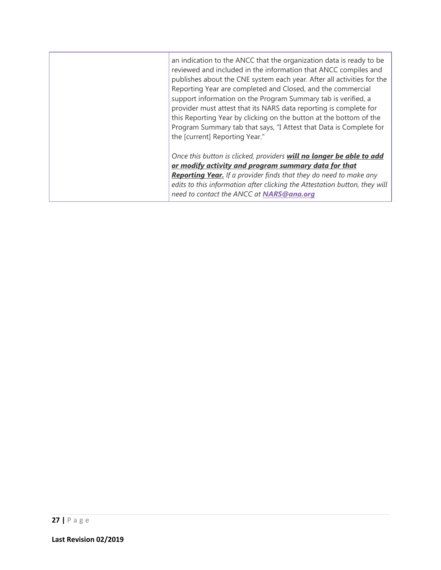<span id="page-27-0"></span>

| an indication to the ANCC that the organization data is ready to be<br>reviewed and included in the information that ANCC compiles and<br>publishes about the CNE system each year. After all activities for the<br>Reporting Year are completed and Closed, and the commercial<br>support information on the Program Summary tab is verified, a<br>provider must attest that its NARS data reporting is complete for<br>this Reporting Year by clicking on the button at the bottom of the<br>Program Summary tab that says, "I Attest that Data is Complete for<br>the [current] Reporting Year." |
|-----------------------------------------------------------------------------------------------------------------------------------------------------------------------------------------------------------------------------------------------------------------------------------------------------------------------------------------------------------------------------------------------------------------------------------------------------------------------------------------------------------------------------------------------------------------------------------------------------|
| Once this button is clicked, providers will no longer be able to add<br>or modify activity and program summary data for that<br><b>Reporting Year.</b> If a provider finds that they do need to make any<br>edits to this information after clicking the Attestation button, they will<br>need to contact the ANCC at NARS@ana.org                                                                                                                                                                                                                                                                  |
|                                                                                                                                                                                                                                                                                                                                                                                                                                                                                                                                                                                                     |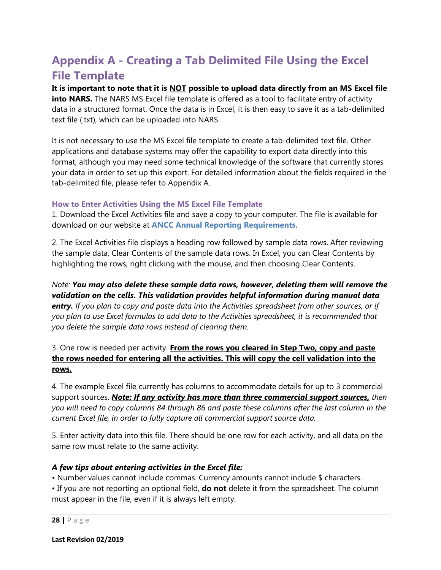# **Appendix A - Creating a Tab Delimited File Using the Excel File Template**

**It is important to note that it is NOT possible to upload data directly from an MS Excel file into NARS.** The NARS MS Excel file template is offered as a tool to facilitate entry of activity data in a structured format. Once the data is in Excel, it is then easy to save it as a tab-delimited text file (.txt), which can be uploaded into NARS.

It is not necessary to use the MS Excel file template to create a tab-delimited text file. Other applications and database systems may offer the capability to export data directly into this format, although you may need some technical knowledge of the software that currently stores your data in order to set up this export. For detailed information about the fields required in the tab-delimited file, please refer to Appendix A.

#### **How to Enter Activities Using the MS Excel File Template**

1. Download the Excel Activities file and save a copy to your computer. The file is available for download on our website at **[ANCC Annual Reporting Requirements.](https://www.nursingworld.org/organizational-programs/accreditation/primary-accreditation/annual-reporting-requirements/)**

2. The Excel Activities file displays a heading row followed by sample data rows. After reviewing the sample data, Clear Contents of the sample data rows. In Excel, you can Clear Contents by highlighting the rows, right clicking with the mouse, and then choosing Clear Contents.

*Note: You may also delete these sample data rows, however, deleting them will remove the validation on the cells. This validation provides helpful information during manual data entry. If you plan to copy and paste data into the Activities spreadsheet from other sources, or if you plan to use Excel formulas to add data to the Activities spreadsheet, it is recommended that you delete the sample data rows instead of clearing them.* 

3. One row is needed per activity. **From the rows you cleared in Step Two, copy and paste the rows needed for entering all the activities. This will copy the cell validation into the rows.** 

4. The example Excel file currently has columns to accommodate details for up to 3 commercial support sources. *Note: If any activity has more than three commercial support sources, then you will need to copy columns 84 through 86 and paste these columns after the last column in the current Excel file, in order to fully capture all commercial support source data.* 

5. Enter activity data into this file. There should be one row for each activity, and all data on the same row must relate to the same activity.

#### *A few tips about entering activities in the Excel file:*

• Number values cannot include commas. Currency amounts cannot include \$ characters.

• If you are not reporting an optional field, **do not** delete it from the spreadsheet. The column must appear in the file, even if it is always left empty.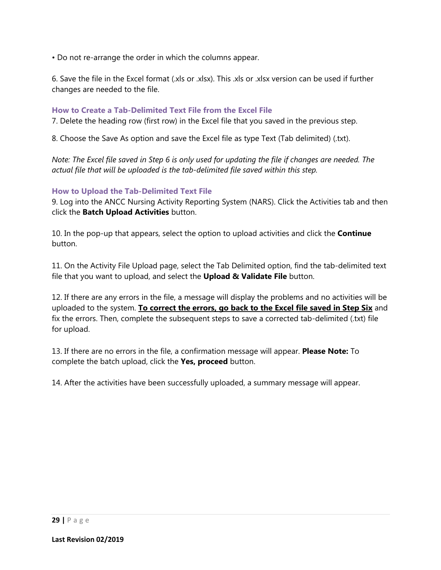• Do not re-arrange the order in which the columns appear.

6. Save the file in the Excel format (.xls or .xlsx). This .xls or .xlsx version can be used if further changes are needed to the file.

#### **How to Create a Tab-Delimited Text File from the Excel File**

7. Delete the heading row (first row) in the Excel file that you saved in the previous step.

8. Choose the Save As option and save the Excel file as type Text (Tab delimited) (.txt).

*Note: The Excel file saved in Step 6 is only used for updating the file if changes are needed. The actual file that will be uploaded is the tab-delimited file saved within this step.* 

#### **How to Upload the Tab-Delimited Text File**

9. Log into the ANCC Nursing Activity Reporting System (NARS). Click the Activities tab and then click the **Batch Upload Activities** button.

10. In the pop-up that appears, select the option to upload activities and click the **Continue**  button.

11. On the Activity File Upload page, select the Tab Delimited option, find the tab-delimited text file that you want to upload, and select the **Upload & Validate File** button.

12. If there are any errors in the file, a message will display the problems and no activities will be uploaded to the system. **To correct the errors, go back to the Excel file saved in Step Six** and fix the errors. Then, complete the subsequent steps to save a corrected tab-delimited (.txt) file for upload.

13. If there are no errors in the file, a confirmation message will appear. **Please Note:** To complete the batch upload, click the **Yes, proceed** button.

14. After the activities have been successfully uploaded, a summary message will appear.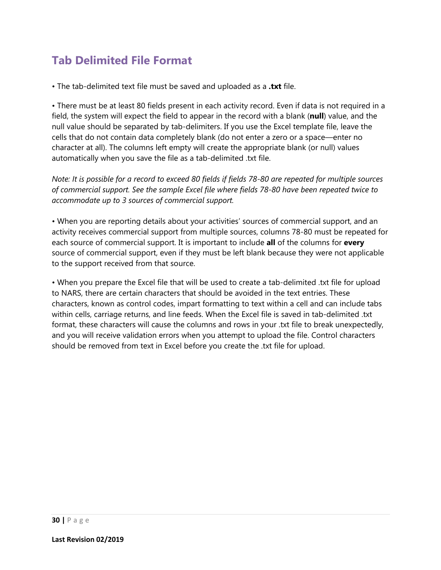# **Tab Delimited File Format**

• The tab-delimited text file must be saved and uploaded as a **.txt** file.

• There must be at least 80 fields present in each activity record. Even if data is not required in a field, the system will expect the field to appear in the record with a blank (**null**) value, and the null value should be separated by tab-delimiters. If you use the Excel template file, leave the cells that do not contain data completely blank (do not enter a zero or a space—enter no character at all). The columns left empty will create the appropriate blank (or null) values automatically when you save the file as a tab-delimited .txt file.

*Note: It is possible for a record to exceed 80 fields if fields 78-80 are repeated for multiple sources of commercial support. See the sample Excel file where fields 78-80 have been repeated twice to accommodate up to 3 sources of commercial support.* 

• When you are reporting details about your activities' sources of commercial support, and an activity receives commercial support from multiple sources, columns 78-80 must be repeated for each source of commercial support. It is important to include **all** of the columns for **every**  source of commercial support, even if they must be left blank because they were not applicable to the support received from that source.

• When you prepare the Excel file that will be used to create a tab-delimited .txt file for upload to NARS, there are certain characters that should be avoided in the text entries. These characters, known as control codes, impart formatting to text within a cell and can include tabs within cells, carriage returns, and line feeds. When the Excel file is saved in tab-delimited .txt format, these characters will cause the columns and rows in your .txt file to break unexpectedly, and you will receive validation errors when you attempt to upload the file. Control characters should be removed from text in Excel before you create the .txt file for upload.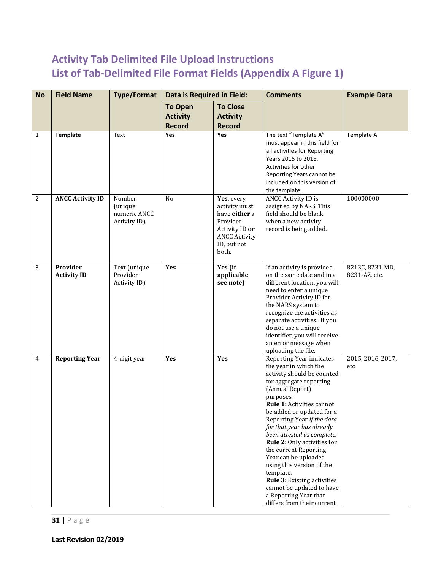### <span id="page-31-1"></span><span id="page-31-0"></span>**Activity Tab Delimited File Upload Instructions List of Tab-Delimited File Format Fields (Appendix A Figure 1)**

<span id="page-31-2"></span>

| <b>No</b>      | <b>Field Name</b>              | <b>Type/Format</b>                                | Data is Required in Field:                         |                                                                                                                            | <b>Comments</b>                                                                                                                                                                                                                                                                                                                                                                                                                                                                                                                            | <b>Example Data</b>              |
|----------------|--------------------------------|---------------------------------------------------|----------------------------------------------------|----------------------------------------------------------------------------------------------------------------------------|--------------------------------------------------------------------------------------------------------------------------------------------------------------------------------------------------------------------------------------------------------------------------------------------------------------------------------------------------------------------------------------------------------------------------------------------------------------------------------------------------------------------------------------------|----------------------------------|
|                |                                |                                                   | <b>To Open</b><br><b>Activity</b><br><b>Record</b> | <b>To Close</b><br><b>Activity</b><br><b>Record</b>                                                                        |                                                                                                                                                                                                                                                                                                                                                                                                                                                                                                                                            |                                  |
| 1              | <b>Template</b>                | Text                                              | Yes                                                | Yes                                                                                                                        | The text "Template A"<br>must appear in this field for<br>all activities for Reporting<br>Years 2015 to 2016.<br>Activities for other<br>Reporting Years cannot be<br>included on this version of<br>the template.                                                                                                                                                                                                                                                                                                                         | Template A                       |
| $\overline{2}$ | <b>ANCC Activity ID</b>        | Number<br>(unique<br>numeric ANCC<br>Activity ID) | No                                                 | Yes, every<br>activity must<br>have either a<br>Provider<br>Activity ID or<br><b>ANCC Activity</b><br>ID, but not<br>both. | <b>ANCC Activity ID is</b><br>assigned by NARS. This<br>field should be blank<br>when a new activity<br>record is being added.                                                                                                                                                                                                                                                                                                                                                                                                             | 100000000                        |
| 3              | Provider<br><b>Activity ID</b> | Text (unique<br>Provider<br>Activity ID)          | Yes                                                | Yes (if<br>applicable<br>see note)                                                                                         | If an activity is provided<br>on the same date and in a<br>different location, you will<br>need to enter a unique<br>Provider Activity ID for<br>the NARS system to<br>recognize the activities as<br>separate activities. If you<br>do not use a unique<br>identifier, you will receive<br>an error message when<br>uploading the file.                                                                                                                                                                                                   | 8213C, 8231-MD,<br>8231-AZ, etc. |
| 4              | <b>Reporting Year</b>          | 4-digit year                                      | Yes                                                | Yes                                                                                                                        | Reporting Year indicates<br>the year in which the<br>activity should be counted<br>for aggregate reporting<br>(Annual Report)<br>purposes.<br>Rule 1: Activities cannot<br>be added or updated for a<br>Reporting Year if the data<br>for that year has already<br>been attested as complete.<br>Rule 2: Only activities for<br>the current Reporting<br>Year can be uploaded<br>using this version of the<br>template.<br>Rule 3: Existing activities<br>cannot be updated to have<br>a Reporting Year that<br>differs from their current | 2015, 2016, 2017,<br>etc         |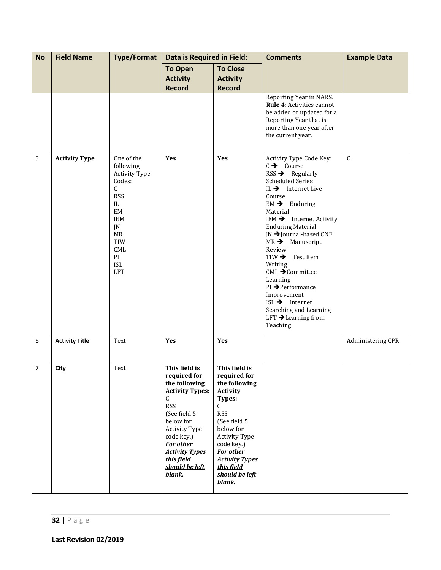| <b>No</b>      | <b>Field Name</b>     | <b>Type/Format</b>                                                                                                                                                        | Data is Required in Field:                                                                                                                                                                                                                            |                                                                                                                                                                                                                                                   | <b>Comments</b>                                                                                                                                                                                                                                                                                                                                                                                                                                                                                                                                                                 | <b>Example Data</b>     |
|----------------|-----------------------|---------------------------------------------------------------------------------------------------------------------------------------------------------------------------|-------------------------------------------------------------------------------------------------------------------------------------------------------------------------------------------------------------------------------------------------------|---------------------------------------------------------------------------------------------------------------------------------------------------------------------------------------------------------------------------------------------------|---------------------------------------------------------------------------------------------------------------------------------------------------------------------------------------------------------------------------------------------------------------------------------------------------------------------------------------------------------------------------------------------------------------------------------------------------------------------------------------------------------------------------------------------------------------------------------|-------------------------|
|                |                       |                                                                                                                                                                           | <b>To Open</b><br><b>Activity</b><br><b>Record</b>                                                                                                                                                                                                    | <b>To Close</b><br><b>Activity</b><br><b>Record</b>                                                                                                                                                                                               |                                                                                                                                                                                                                                                                                                                                                                                                                                                                                                                                                                                 |                         |
|                |                       |                                                                                                                                                                           |                                                                                                                                                                                                                                                       |                                                                                                                                                                                                                                                   | Reporting Year in NARS.<br>Rule 4: Activities cannot<br>be added or updated for a<br>Reporting Year that is<br>more than one year after<br>the current year.                                                                                                                                                                                                                                                                                                                                                                                                                    |                         |
| 5              | <b>Activity Type</b>  | One of the<br>following<br><b>Activity Type</b><br>Codes:<br>C<br><b>RSS</b><br>IL<br>$\rm{EM}$<br><b>IEM</b><br>JN<br>MR<br>TIW<br>CML<br>PI<br><b>ISL</b><br><b>LFT</b> | Yes                                                                                                                                                                                                                                                   | Yes                                                                                                                                                                                                                                               | Activity Type Code Key:<br>$C \rightarrow \text{Course}$<br>$RSS \rightarrow$ Regularly<br><b>Scheduled Series</b><br>IL $\rightarrow$ Internet Live<br>Course<br>$EM \rightarrow$ Enduring<br>Material<br>IEM $\rightarrow$ Internet Activity<br><b>Enduring Material</b><br>JN → Journal-based CNE<br>$MR \rightarrow$ Manuscript<br>Review<br>$TIW \rightarrow$<br>Test Item<br>Writing<br>$CML \rightarrow$ Committee<br>Learning<br>PI → Performance<br>Improvement<br>$ISL \rightarrow$ Internet<br>Searching and Learning<br>LFT $\rightarrow$ Learning from<br>Teaching | $\overline{\mathsf{C}}$ |
| 6              | <b>Activity Title</b> | Text                                                                                                                                                                      | Yes                                                                                                                                                                                                                                                   | Yes                                                                                                                                                                                                                                               |                                                                                                                                                                                                                                                                                                                                                                                                                                                                                                                                                                                 | Administering CPR       |
| $\overline{7}$ | City                  | Text                                                                                                                                                                      | This field is<br>required for<br>the following<br><b>Activity Types:</b><br>C<br><b>RSS</b><br>(See field 5<br>below for<br><b>Activity Type</b><br>code key.)<br><b>For other</b><br><b>Activity Types</b><br>this field<br>should be left<br>blank. | This field is<br>required for<br>the following<br><b>Activity</b><br>Types:<br>C<br><b>RSS</b><br>(See field 5<br>below for<br>Activity Type<br>code key.)<br><b>For other</b><br><b>Activity Types</b><br>this field<br>should be left<br>blank. |                                                                                                                                                                                                                                                                                                                                                                                                                                                                                                                                                                                 |                         |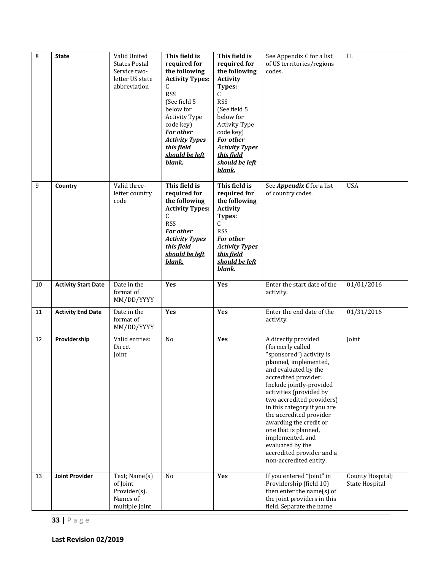| 8  | <b>State</b>               | Valid United<br><b>States Postal</b><br>Service two-<br>letter US state<br>abbreviation | This field is<br>required for<br>the following<br><b>Activity Types:</b><br>C<br><b>RSS</b><br>(See field 5<br>below for<br><b>Activity Type</b><br>code key)<br><b>For other</b><br><b>Activity Types</b><br>this field<br>should be left<br>blank. | This field is<br>required for<br>the following<br><b>Activity</b><br>Types:<br>C<br><b>RSS</b><br>(See field 5<br>below for<br><b>Activity Type</b><br>code key)<br><b>For other</b><br><b>Activity Types</b><br><u>this field</u><br>should be left<br>blank. | See Appendix C for a list<br>of US territories/regions<br>codes.                                                                                                                                                                                                                                                                                                                                                                            | $\rm IL$                           |
|----|----------------------------|-----------------------------------------------------------------------------------------|------------------------------------------------------------------------------------------------------------------------------------------------------------------------------------------------------------------------------------------------------|----------------------------------------------------------------------------------------------------------------------------------------------------------------------------------------------------------------------------------------------------------------|---------------------------------------------------------------------------------------------------------------------------------------------------------------------------------------------------------------------------------------------------------------------------------------------------------------------------------------------------------------------------------------------------------------------------------------------|------------------------------------|
| 9  | Country                    | Valid three-<br>letter country<br>code                                                  | This field is<br>required for<br>the following<br><b>Activity Types:</b><br>C<br><b>RSS</b><br><b>For other</b><br><b>Activity Types</b><br>this field<br>should be left<br>blank.                                                                   | This field is<br>required for<br>the following<br><b>Activity</b><br>Types:<br>C<br><b>RSS</b><br><b>For other</b><br><b>Activity Types</b><br>this field<br>should be left<br>blank.                                                                          | See <i>Appendix C</i> for a list<br>of country codes.                                                                                                                                                                                                                                                                                                                                                                                       | <b>USA</b>                         |
| 10 | <b>Activity Start Date</b> | Date in the<br>format of<br>MM/DD/YYYY                                                  | Yes                                                                                                                                                                                                                                                  | Yes                                                                                                                                                                                                                                                            | Enter the start date of the<br>activity.                                                                                                                                                                                                                                                                                                                                                                                                    | 01/01/2016                         |
| 11 | <b>Activity End Date</b>   | Date in the<br>format of<br>MM/DD/YYYY                                                  | Yes                                                                                                                                                                                                                                                  | Yes                                                                                                                                                                                                                                                            | Enter the end date of the<br>activity.                                                                                                                                                                                                                                                                                                                                                                                                      | 01/31/2016                         |
| 12 | Providership               | Valid entries:<br>Direct<br>Joint                                                       | N <sub>0</sub>                                                                                                                                                                                                                                       | Yes                                                                                                                                                                                                                                                            | A directly provided<br>(formerly called<br>"sponsored") activity is<br>planned, implemented,<br>and evaluated by the<br>accredited provider.<br>Include jointly-provided<br>activities (provided by<br>two accredited providers)<br>in this category if you are<br>the accredited provider<br>awarding the credit or<br>one that is planned,<br>implemented, and<br>evaluated by the<br>accredited provider and a<br>non-accredited entity. | Joint                              |
| 13 | <b>Joint Provider</b>      | Text; Name(s)<br>of Joint<br>Provider(s).<br>Names of<br>multiple Joint                 | N <sub>o</sub>                                                                                                                                                                                                                                       | Yes                                                                                                                                                                                                                                                            | If you entered "Joint" in<br>Providership (field 10)<br>then enter the name(s) of<br>the joint providers in this<br>field. Separate the name                                                                                                                                                                                                                                                                                                | County Hospital;<br>State Hospital |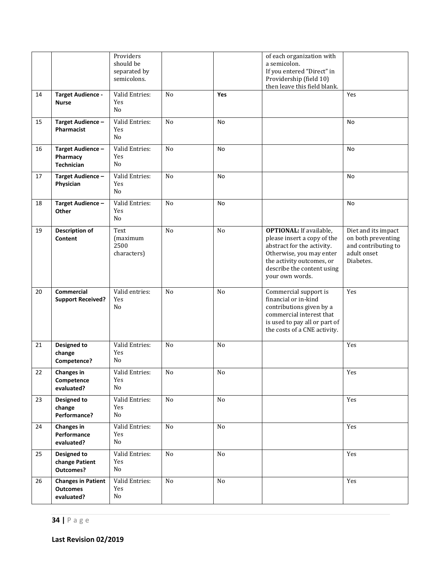|    |                                                            | Providers<br>should be<br>separated by<br>semicolons. |                |     | of each organization with<br>a semicolon.<br>If you entered "Direct" in<br>Providership (field 10)<br>then leave this field blank.                                                                    |                                                                                              |
|----|------------------------------------------------------------|-------------------------------------------------------|----------------|-----|-------------------------------------------------------------------------------------------------------------------------------------------------------------------------------------------------------|----------------------------------------------------------------------------------------------|
| 14 | <b>Target Audience -</b><br><b>Nurse</b>                   | Valid Entries:<br>Yes<br>No                           | No             | Yes |                                                                                                                                                                                                       | Yes                                                                                          |
| 15 | Target Audience -<br>Pharmacist                            | Valid Entries:<br>Yes<br>No                           | No             | No  |                                                                                                                                                                                                       | No                                                                                           |
| 16 | Target Audience-<br>Pharmacy<br><b>Technician</b>          | Valid Entries:<br>Yes<br>No                           | N <sub>o</sub> | No  |                                                                                                                                                                                                       | No                                                                                           |
| 17 | Target Audience-<br>Physician                              | Valid Entries:<br>Yes<br>No                           | N <sub>o</sub> | No  |                                                                                                                                                                                                       | No                                                                                           |
| 18 | Target Audience-<br>Other                                  | Valid Entries:<br>Yes<br>No                           | No             | No  |                                                                                                                                                                                                       | No                                                                                           |
| 19 | <b>Description of</b><br>Content                           | Text<br>(maximum<br>2500<br>characters)               | No             | No  | <b>OPTIONAL:</b> If available,<br>please insert a copy of the<br>abstract for the activity.<br>Otherwise, you may enter<br>the activity outcomes, or<br>describe the content using<br>your own words. | Diet and its impact<br>on both preventing<br>and contributing to<br>adult onset<br>Diabetes. |
| 20 | Commercial<br><b>Support Received?</b>                     | Valid entries:<br>Yes<br>No                           | N <sub>o</sub> | No  | Commercial support is<br>financial or in-kind<br>contributions given by a<br>commercial interest that<br>is used to pay all or part of<br>the costs of a CNE activity.                                | Yes                                                                                          |
| 21 | <b>Designed to</b><br>change<br>Competence?                | Valid Entries:<br>Yes<br>No                           | No             | No  |                                                                                                                                                                                                       | Yes                                                                                          |
| 22 | <b>Changes in</b><br>Competence<br>evaluated?              | Valid Entries:<br>Yes<br>No                           | $\rm No$       | No  |                                                                                                                                                                                                       | Yes                                                                                          |
| 23 | Designed to<br>change<br>Performance?                      | Valid Entries:<br>Yes<br>No                           | No             | No  |                                                                                                                                                                                                       | Yes                                                                                          |
| 24 | <b>Changes in</b><br>Performance<br>evaluated?             | Valid Entries:<br>Yes<br>No                           | No             | No  |                                                                                                                                                                                                       | Yes                                                                                          |
| 25 | <b>Designed to</b><br>change Patient<br><b>Outcomes?</b>   | Valid Entries:<br>Yes<br>No                           | No             | No  |                                                                                                                                                                                                       | Yes                                                                                          |
| 26 | <b>Changes in Patient</b><br><b>Outcomes</b><br>evaluated? | Valid Entries:<br>Yes<br>No                           | No             | No  |                                                                                                                                                                                                       | Yes                                                                                          |

**Last Revision 02/2019**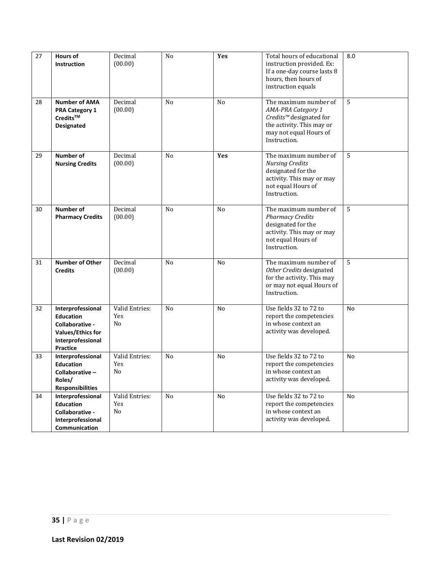| 27 | <b>Hours of</b><br><b>Instruction</b>                                                                                 | Decimal<br>(00.00)          | No             | Yes            | Total hours of educational<br>instruction provided. Ex:<br>If a one-day course lasts 8<br>hours, then hours of<br>instruction equals                      | 8.0            |
|----|-----------------------------------------------------------------------------------------------------------------------|-----------------------------|----------------|----------------|-----------------------------------------------------------------------------------------------------------------------------------------------------------|----------------|
| 28 | <b>Number of AMA</b><br><b>PRA Category 1</b><br>$\mathsf{Credits}^{\mathsf{TM}}$<br><b>Designated</b>                | Decimal<br>(00.00)          | N <sub>o</sub> | N <sub>o</sub> | The maximum number of<br>AMA-PRA Category 1<br>Credits <sup>™</sup> designated for<br>the activity. This may or<br>may not equal Hours of<br>Instruction. | $\overline{5}$ |
| 29 | Number of<br><b>Nursing Credits</b>                                                                                   | Decimal<br>(00.00)          | No             | Yes            | The maximum number of<br><b>Nursing Credits</b><br>designated for the<br>activity. This may or may<br>not equal Hours of<br>Instruction.                  | 5              |
| 30 | Number of<br><b>Pharmacy Credits</b>                                                                                  | Decimal<br>(00.00)          | N <sub>o</sub> | N <sub>o</sub> | The maximum number of<br><b>Pharmacy Credits</b><br>designated for the<br>activity. This may or may<br>not equal Hours of<br>Instruction.                 | 5              |
| 31 | <b>Number of Other</b><br><b>Credits</b>                                                                              | Decimal<br>(00.00)          | N <sub>o</sub> | No             | The maximum number of<br>Other Credits designated<br>for the activity. This may<br>or may not equal Hours of<br>Instruction.                              | $\overline{5}$ |
| 32 | Interprofessional<br><b>Education</b><br>Collaborative -<br><b>Values/Ethics for</b><br>Interprofessional<br>Practice | Valid Entries:<br>Yes<br>No | N <sub>o</sub> | No             | Use fields 32 to 72 to<br>report the competencies<br>in whose context an<br>activity was developed.                                                       | No             |
| 33 | Interprofessional<br><b>Education</b><br>Collaborative-<br>Roles/<br><b>Responsibilities</b>                          | Valid Entries:<br>Yes<br>No | N <sub>o</sub> | No             | Use fields 32 to 72 to<br>report the competencies<br>in whose context an<br>activity was developed.                                                       | No             |
| 34 | Interprofessional<br>Education<br>Collaborative -<br>Interprofessional<br>Communication                               | Valid Entries:<br>Yes<br>No | No             | No             | Use fields 32 to 72 to<br>report the competencies<br>in whose context an<br>activity was developed.                                                       | <b>No</b>      |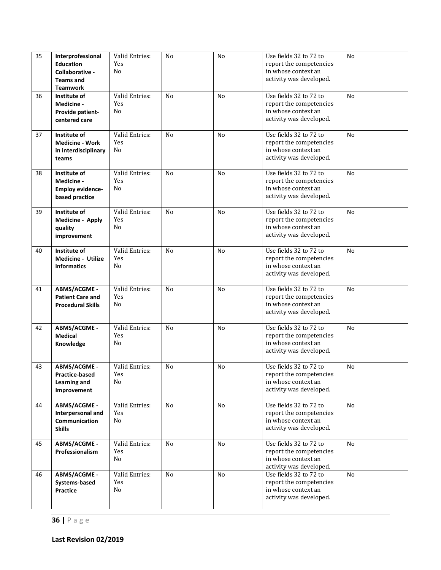| 35 | Interprofessional<br><b>Education</b><br>Collaborative -<br><b>Teams and</b><br><b>Teamwork</b> | Valid Entries:<br>Yes<br>No | N <sub>o</sub> | No | Use fields 32 to 72 to<br>report the competencies<br>in whose context an<br>activity was developed. | <b>No</b> |
|----|-------------------------------------------------------------------------------------------------|-----------------------------|----------------|----|-----------------------------------------------------------------------------------------------------|-----------|
| 36 | Institute of<br>Medicine -<br>Provide patient-<br>centered care                                 | Valid Entries:<br>Yes<br>No | N <sub>0</sub> | No | Use fields 32 to 72 to<br>report the competencies<br>in whose context an<br>activity was developed. | No        |
| 37 | Institute of<br><b>Medicine - Work</b><br>in interdisciplinary<br>teams                         | Valid Entries:<br>Yes<br>No | N <sub>o</sub> | No | Use fields 32 to 72 to<br>report the competencies<br>in whose context an<br>activity was developed. | No        |
| 38 | Institute of<br>Medicine -<br><b>Employ evidence-</b><br>based practice                         | Valid Entries:<br>Yes<br>No | N <sub>0</sub> | No | Use fields 32 to 72 to<br>report the competencies<br>in whose context an<br>activity was developed. | No        |
| 39 | Institute of<br><b>Medicine - Apply</b><br>quality<br>improvement                               | Valid Entries:<br>Yes<br>No | N <sub>o</sub> | No | Use fields 32 to 72 to<br>report the competencies<br>in whose context an<br>activity was developed. | No        |
| 40 | Institute of<br><b>Medicine - Utilize</b><br>informatics                                        | Valid Entries:<br>Yes<br>No | N <sub>0</sub> | No | Use fields 32 to 72 to<br>report the competencies<br>in whose context an<br>activity was developed. | No        |
| 41 | <b>ABMS/ACGME -</b><br><b>Patient Care and</b><br><b>Procedural Skills</b>                      | Valid Entries:<br>Yes<br>No | N <sub>0</sub> | No | Use fields 32 to 72 to<br>report the competencies<br>in whose context an<br>activity was developed. | No        |
| 42 | ABMS/ACGME -<br><b>Medical</b><br>Knowledge                                                     | Valid Entries:<br>Yes<br>No | N <sub>0</sub> | No | Use fields 32 to 72 to<br>report the competencies<br>in whose context an<br>activity was developed. | No        |
| 43 | <b>ABMS/ACGME -</b><br>Practice-based<br>Learning and<br>Improvement                            | Valid Entries:<br>Yes<br>No | N <sub>o</sub> | No | Use fields 32 to 72 to<br>report the competencies<br>in whose context an<br>activity was developed. | <b>No</b> |
| 44 | ABMS/ACGME -<br>Interpersonal and<br>Communication<br><b>Skills</b>                             | Valid Entries:<br>Yes<br>No | N <sub>o</sub> | No | Use fields 32 to 72 to<br>report the competencies<br>in whose context an<br>activity was developed. | No        |
| 45 | ABMS/ACGME -<br>Professionalism                                                                 | Valid Entries:<br>Yes<br>No | No             | No | Use fields 32 to 72 to<br>report the competencies<br>in whose context an<br>activity was developed. | No        |
| 46 | ABMS/ACGME -<br>Systems-based<br>Practice                                                       | Valid Entries:<br>Yes<br>No | N <sub>o</sub> | No | Use fields 32 to 72 to<br>report the competencies<br>in whose context an<br>activity was developed. | <b>No</b> |

**36 |** Page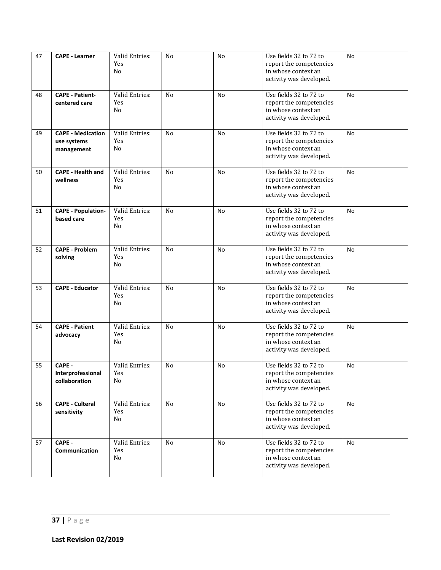| 47 | <b>CAPE - Learner</b>                                 | Valid Entries:<br>Yes<br>No             | No             | <b>No</b> | Use fields 32 to 72 to<br>report the competencies<br>in whose context an<br>activity was developed. | <b>No</b> |
|----|-------------------------------------------------------|-----------------------------------------|----------------|-----------|-----------------------------------------------------------------------------------------------------|-----------|
| 48 | <b>CAPE - Patient-</b><br>centered care               | Valid Entries:<br>Yes<br>No             | N <sub>o</sub> | No        | Use fields 32 to 72 to<br>report the competencies<br>in whose context an<br>activity was developed. | <b>No</b> |
| 49 | <b>CAPE - Medication</b><br>use systems<br>management | Valid Entries:<br>Yes<br>N <sub>0</sub> | N <sub>0</sub> | No        | Use fields 32 to 72 to<br>report the competencies<br>in whose context an<br>activity was developed. | No.       |
| 50 | <b>CAPE - Health and</b><br>wellness                  | Valid Entries:<br>Yes<br>No             | N <sub>o</sub> | No        | Use fields 32 to 72 to<br>report the competencies<br>in whose context an<br>activity was developed. | <b>No</b> |
| 51 | <b>CAPE - Population-</b><br>based care               | Valid Entries:<br>Yes<br>No             | N <sub>0</sub> | No        | Use fields 32 to 72 to<br>report the competencies<br>in whose context an<br>activity was developed. | No.       |
| 52 | <b>CAPE - Problem</b><br>solving                      | Valid Entries:<br>Yes<br>No             | N <sub>o</sub> | No        | Use fields 32 to 72 to<br>report the competencies<br>in whose context an<br>activity was developed. | No.       |
| 53 | <b>CAPE - Educator</b>                                | Valid Entries:<br>Yes<br>No             | N <sub>o</sub> | <b>No</b> | Use fields 32 to 72 to<br>report the competencies<br>in whose context an<br>activity was developed. | <b>No</b> |
| 54 | <b>CAPE - Patient</b><br>advocacy                     | Valid Entries:<br>Yes<br>No             | N <sub>0</sub> | No        | Use fields 32 to 72 to<br>report the competencies<br>in whose context an<br>activity was developed. | <b>No</b> |
| 55 | CAPE -<br>Interprofessional<br>collaboration          | Valid Entries:<br>Yes<br>No             | N <sub>o</sub> | No        | Use fields 32 to 72 to<br>report the competencies<br>in whose context an<br>activity was developed. | No        |
| 56 | <b>CAPE - Culteral</b><br>sensitivity                 | Valid Entries:<br>Yes<br>No             | No             | No        | Use fields 32 to 72 to<br>report the competencies<br>in whose context an<br>activity was developed. | No        |
| 57 | CAPE -<br>Communication                               | Valid Entries:<br>Yes<br>No             | N <sub>o</sub> | No        | Use fields 32 to 72 to<br>report the competencies<br>in whose context an<br>activity was developed. | No        |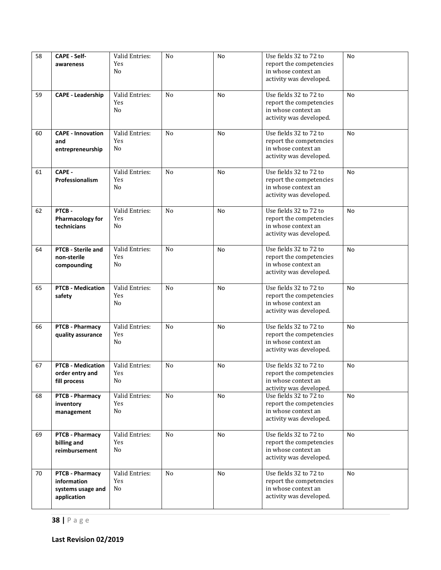| 58 | <b>CAPE - Self-</b>                      | Valid Entries:        | No             | No        | Use fields 32 to 72 to                            | <b>No</b> |
|----|------------------------------------------|-----------------------|----------------|-----------|---------------------------------------------------|-----------|
|    | awareness                                | Yes                   |                |           | report the competencies                           |           |
|    |                                          | No                    |                |           | in whose context an                               |           |
|    |                                          |                       |                |           | activity was developed.                           |           |
| 59 | <b>CAPE - Leadership</b>                 | Valid Entries:        | N <sub>o</sub> | No        | Use fields 32 to 72 to                            | No        |
|    |                                          | Yes                   |                |           | report the competencies                           |           |
|    |                                          | No                    |                |           | in whose context an                               |           |
|    |                                          |                       |                |           | activity was developed.                           |           |
| 60 | <b>CAPE - Innovation</b>                 | Valid Entries:        | N <sub>0</sub> | No        | Use fields 32 to 72 to                            | No        |
|    | and                                      | Yes                   |                |           | report the competencies                           |           |
|    | entrepreneurship                         | No                    |                |           | in whose context an                               |           |
|    |                                          |                       |                |           | activity was developed.                           |           |
| 61 | CAPE -                                   | Valid Entries:        | N <sub>o</sub> | No        | Use fields 32 to 72 to                            | No        |
|    | Professionalism                          | Yes                   |                |           | report the competencies                           |           |
|    |                                          | No                    |                |           | in whose context an                               |           |
|    |                                          |                       |                |           | activity was developed.                           |           |
| 62 | PTCB-                                    | Valid Entries:        | N <sub>0</sub> | No        | Use fields 32 to 72 to                            | No.       |
|    | <b>Pharmacology for</b>                  | Yes                   |                |           | report the competencies                           |           |
|    | technicians                              | No                    |                |           | in whose context an                               |           |
|    |                                          |                       |                |           | activity was developed.                           |           |
|    |                                          |                       |                |           |                                                   |           |
| 64 | <b>PTCB - Sterile and</b><br>non-sterile | Valid Entries:<br>Yes | N <sub>o</sub> | No        | Use fields 32 to 72 to<br>report the competencies | No.       |
|    | compounding                              | No                    |                |           | in whose context an                               |           |
|    |                                          |                       |                |           | activity was developed.                           |           |
|    |                                          |                       |                |           |                                                   |           |
| 65 | <b>PTCB - Medication</b>                 | Valid Entries:        | N <sub>0</sub> | <b>No</b> | Use fields 32 to 72 to                            | <b>No</b> |
|    | safety                                   | Yes<br>No             |                |           | report the competencies<br>in whose context an    |           |
|    |                                          |                       |                |           | activity was developed.                           |           |
|    |                                          |                       |                |           |                                                   |           |
| 66 | <b>PTCB - Pharmacy</b>                   | Valid Entries:        | N <sub>0</sub> | No        | Use fields 32 to 72 to                            | <b>No</b> |
|    | quality assurance                        | Yes                   |                |           | report the competencies                           |           |
|    |                                          | No                    |                |           | in whose context an<br>activity was developed.    |           |
|    |                                          |                       |                |           |                                                   |           |
| 67 | <b>PTCB - Medication</b>                 | Valid Entries:        | N <sub>o</sub> | No        | Use fields 32 to 72 to                            | No        |
|    | order entry and                          | Yes                   |                |           | report the competencies                           |           |
|    | fill process                             | No                    |                |           | in whose context an<br>activity was developed.    |           |
| 68 | <b>PTCB - Pharmacy</b>                   | Valid Entries:        | N <sub>0</sub> | No        | Use fields 32 to 72 to                            | No        |
|    | inventory                                | Yes                   |                |           | report the competencies                           |           |
|    | management                               | No                    |                |           | in whose context an                               |           |
|    |                                          |                       |                |           | activity was developed.                           |           |
| 69 | PTCB - Pharmacy                          | Valid Entries:        | N <sub>0</sub> | No        | Use fields 32 to 72 to                            | No.       |
|    | billing and                              | Yes                   |                |           | report the competencies                           |           |
|    | reimbursement                            | No                    |                |           | in whose context an                               |           |
|    |                                          |                       |                |           | activity was developed.                           |           |
| 70 | PTCB - Pharmacy                          | Valid Entries:        | No             | No        | Use fields 32 to 72 to                            | No        |
|    | information                              | Yes                   |                |           | report the competencies                           |           |
|    | systems usage and                        | No                    |                |           | in whose context an                               |           |
|    | application                              |                       |                |           | activity was developed.                           |           |
|    |                                          |                       |                |           |                                                   |           |

**38 |** Page

**Last Revision 02/2019**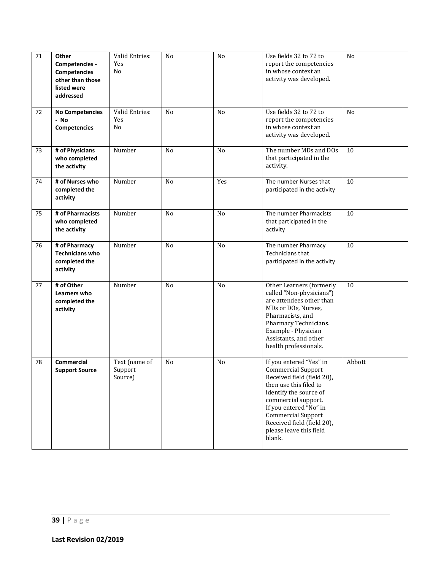| 71 | Other<br>Competencies -<br><b>Competencies</b><br>other than those<br>listed were<br>addressed | Valid Entries:<br>Yes<br>No         | No             | No             | Use fields 32 to 72 to<br>report the competencies<br>in whose context an<br>activity was developed.                                                                                                                                                                                     | No     |
|----|------------------------------------------------------------------------------------------------|-------------------------------------|----------------|----------------|-----------------------------------------------------------------------------------------------------------------------------------------------------------------------------------------------------------------------------------------------------------------------------------------|--------|
| 72 | <b>No Competencies</b><br>- No<br><b>Competencies</b>                                          | Valid Entries:<br>Yes<br>No         | No             | No             | Use fields 32 to 72 to<br>report the competencies<br>in whose context an<br>activity was developed.                                                                                                                                                                                     | No     |
| 73 | # of Physicians<br>who completed<br>the activity                                               | Number                              | N <sub>o</sub> | N <sub>o</sub> | The number MDs and DOs<br>that participated in the<br>activity.                                                                                                                                                                                                                         | 10     |
| 74 | # of Nurses who<br>completed the<br>activity                                                   | Number                              | No             | Yes            | The number Nurses that<br>participated in the activity                                                                                                                                                                                                                                  | 10     |
| 75 | # of Pharmacists<br>who completed<br>the activity                                              | Number                              | No             | No             | The number Pharmacists<br>that participated in the<br>activity                                                                                                                                                                                                                          | 10     |
| 76 | # of Pharmacy<br><b>Technicians who</b><br>completed the<br>activity                           | Number                              | N <sub>o</sub> | N <sub>o</sub> | The number Pharmacy<br>Technicians that<br>participated in the activity                                                                                                                                                                                                                 | 10     |
| 77 | # of Other<br>Learners who<br>completed the<br>activity                                        | Number                              | N <sub>o</sub> | No             | Other Learners (formerly<br>called "Non-physicians")<br>are attendees other than<br>MDs or DOs, Nurses,<br>Pharmacists, and<br>Pharmacy Technicians.<br>Example - Physician<br>Assistants, and other<br>health professionals.                                                           | 10     |
| 78 | Commercial<br><b>Support Source</b>                                                            | Text (name of<br>Support<br>Source) | No             | No             | If you entered "Yes" in<br><b>Commercial Support</b><br>Received field (field 20),<br>then use this filed to<br>identify the source of<br>commercial support.<br>If you entered "No" in<br><b>Commercial Support</b><br>Received field (field 20),<br>please leave this field<br>blank. | Abbott |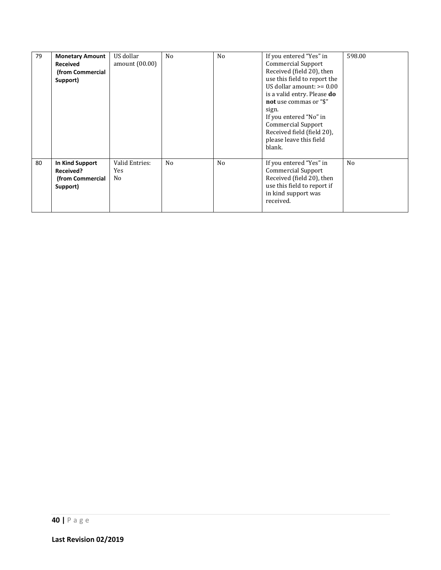| 79 | <b>Monetary Amount</b><br><b>Received</b><br>(from Commercial<br>Support) | US dollar<br>amount (00.00)  | N <sub>0</sub> | N <sub>0</sub> | If you entered "Yes" in<br><b>Commercial Support</b><br>Received (field 20), then<br>use this field to report the<br>US dollar amount: $>= 0.00$<br>is a valid entry. Please <b>do</b><br>not use commas or "\$"<br>sign.<br>If you entered "No" in<br><b>Commercial Support</b><br>Received field (field 20).<br>please leave this field<br>blank. | 598.00         |
|----|---------------------------------------------------------------------------|------------------------------|----------------|----------------|-----------------------------------------------------------------------------------------------------------------------------------------------------------------------------------------------------------------------------------------------------------------------------------------------------------------------------------------------------|----------------|
| 80 | In Kind Support<br>Received?<br>(from Commercial<br>Support)              | Valid Entries:<br>Yes<br>No. | N <sub>o</sub> | N <sub>0</sub> | If you entered "Yes" in<br><b>Commercial Support</b><br>Received (field 20), then<br>use this field to report if<br>in kind support was<br>received.                                                                                                                                                                                                | N <sub>0</sub> |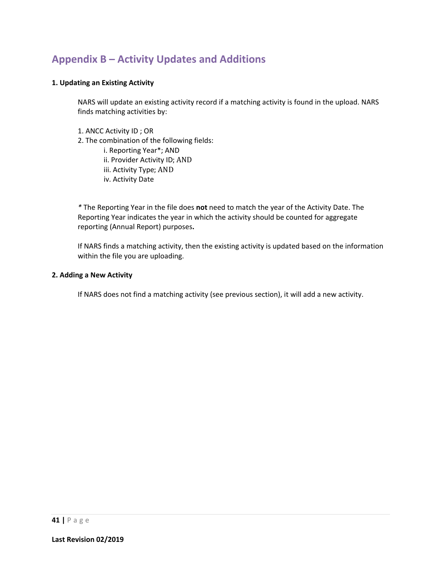### **Appendix B – Activity Updates and Additions**

#### **1. Updating an Existing Activity**

NARS will update an existing activity record if a matching activity is found in the upload. NARS finds matching activities by:

1. ANCC Activity ID ; OR 2. The combination of the following fields: i. Reporting Year\*; AND ii. Provider Activity ID; AND iii. Activity Type; AND iv. Activity Date

*\** The Reporting Year in the file does **not** need to match the year of the Activity Date. The Reporting Year indicates the year in which the activity should be counted for aggregate reporting (Annual Report) purposes**.** 

If NARS finds a matching activity, then the existing activity is updated based on the information within the file you are uploading.

#### **2. Adding a New Activity**

If NARS does not find a matching activity (see previous section), it will add a new activity.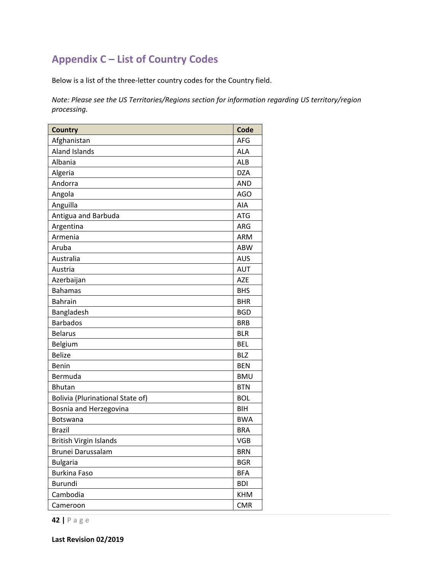### **Appendix C – List of Country Codes**

Below is a list of the three-letter country codes for the Country field.

*Note: Please see the US Territories/Regions section for information regarding US territory/region processing.*

| <b>Country</b>                   | Code       |
|----------------------------------|------------|
| Afghanistan                      | AFG        |
| <b>Aland Islands</b>             | <b>ALA</b> |
| Albania                          | <b>ALB</b> |
| Algeria                          | <b>DZA</b> |
| Andorra                          | <b>AND</b> |
| Angola                           | <b>AGO</b> |
| Anguilla                         | AIA        |
| Antigua and Barbuda              | <b>ATG</b> |
| Argentina                        | ARG        |
| Armenia                          | <b>ARM</b> |
| Aruba                            | <b>ABW</b> |
| Australia                        | <b>AUS</b> |
| Austria                          | <b>AUT</b> |
| Azerbaijan                       | <b>AZE</b> |
| <b>Bahamas</b>                   | <b>BHS</b> |
| <b>Bahrain</b>                   | <b>BHR</b> |
| Bangladesh                       | <b>BGD</b> |
| <b>Barbados</b>                  | <b>BRB</b> |
| <b>Belarus</b>                   | <b>BLR</b> |
| Belgium                          | <b>BEL</b> |
| <b>Belize</b>                    | <b>BLZ</b> |
| Benin                            | <b>BEN</b> |
| Bermuda                          | <b>BMU</b> |
| <b>Bhutan</b>                    | <b>BTN</b> |
| Bolivia (Plurinational State of) | <b>BOL</b> |
| Bosnia and Herzegovina           | BIH        |
| Botswana                         | <b>BWA</b> |
| <b>Brazil</b>                    | <b>BRA</b> |
| <b>British Virgin Islands</b>    | <b>VGB</b> |
| Brunei Darussalam                | <b>BRN</b> |
| <b>Bulgaria</b>                  | <b>BGR</b> |
| <b>Burkina Faso</b>              | <b>BFA</b> |
| Burundi                          | <b>BDI</b> |
| Cambodia                         | <b>KHM</b> |
| Cameroon                         | <b>CMR</b> |

**42 |** Page

**Last Revision 02/2019**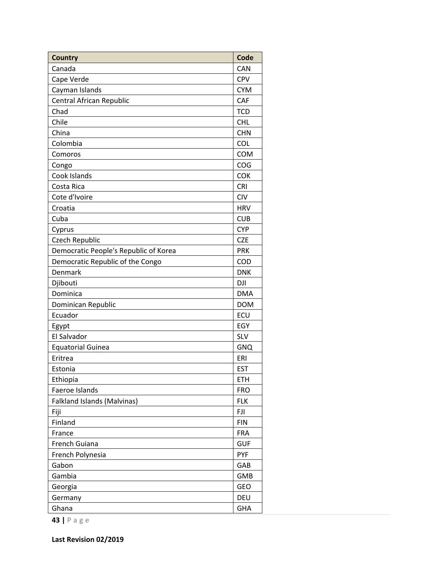| <b>Country</b>                        | Code       |
|---------------------------------------|------------|
| Canada                                | CAN        |
| Cape Verde                            | <b>CPV</b> |
| Cayman Islands                        | <b>CYM</b> |
| Central African Republic              | CAF        |
| Chad                                  | <b>TCD</b> |
| Chile                                 | <b>CHL</b> |
| China                                 | <b>CHN</b> |
| Colombia                              | <b>COL</b> |
| Comoros                               | <b>COM</b> |
| Congo                                 | COG        |
| Cook Islands                          | COK        |
| Costa Rica                            | <b>CRI</b> |
| Cote d'Ivoire                         | <b>CIV</b> |
| Croatia                               | <b>HRV</b> |
| Cuba                                  | <b>CUB</b> |
| Cyprus                                | <b>CYP</b> |
| Czech Republic                        | <b>CZE</b> |
| Democratic People's Republic of Korea | <b>PRK</b> |
| Democratic Republic of the Congo      | COD        |
| Denmark                               | <b>DNK</b> |
| Djibouti                              | <b>DJI</b> |
| Dominica                              | <b>DMA</b> |
| Dominican Republic                    | <b>DOM</b> |
| Ecuador                               | ECU        |
| Egypt                                 | EGY        |
| El Salvador                           | SLV        |
| <b>Equatorial Guinea</b>              | <b>GNQ</b> |
| Eritrea                               | ERI        |
| Estonia                               | <b>EST</b> |
| Ethiopia                              | <b>ETH</b> |
| Faeroe Islands                        | <b>FRO</b> |
| <b>Falkland Islands (Malvinas)</b>    | <b>FLK</b> |
| Fiji                                  | FJI        |
| Finland                               | <b>FIN</b> |
| France                                | <b>FRA</b> |
| French Guiana                         | <b>GUF</b> |
| French Polynesia                      | <b>PYF</b> |
| Gabon                                 | GAB        |
| Gambia                                | <b>GMB</b> |
| Georgia                               | <b>GEO</b> |
| Germany                               | DEU        |
| Ghana                                 | GHA        |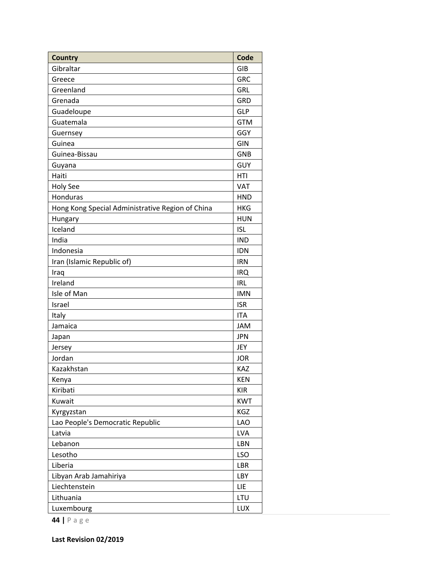| <b>Country</b>                                   | Code       |
|--------------------------------------------------|------------|
| Gibraltar                                        | GIB        |
| Greece                                           | <b>GRC</b> |
| Greenland                                        | <b>GRL</b> |
| Grenada                                          | GRD        |
| Guadeloupe                                       | <b>GLP</b> |
| Guatemala                                        | <b>GTM</b> |
| Guernsey                                         | GGY        |
| Guinea                                           | GIN        |
| Guinea-Bissau                                    | <b>GNB</b> |
| Guyana                                           | <b>GUY</b> |
| Haiti                                            | HTI        |
| <b>Holy See</b>                                  | <b>VAT</b> |
| Honduras                                         | <b>HND</b> |
| Hong Kong Special Administrative Region of China | <b>HKG</b> |
| Hungary                                          | <b>HUN</b> |
| Iceland                                          | <b>ISL</b> |
| India                                            | <b>IND</b> |
| Indonesia                                        | <b>IDN</b> |
| Iran (Islamic Republic of)                       | <b>IRN</b> |
| Iraq                                             | <b>IRQ</b> |
| Ireland                                          | <b>IRL</b> |
| Isle of Man                                      | <b>IMN</b> |
| Israel                                           | <b>ISR</b> |
| Italy                                            | <b>ITA</b> |
| Jamaica                                          | <b>JAM</b> |
| Japan                                            | <b>JPN</b> |
| Jersey                                           | JEY        |
| Jordan                                           | <b>JOR</b> |
| Kazakhstan                                       | <b>KAZ</b> |
| Kenya                                            | <b>KEN</b> |
| Kiribati                                         | <b>KIR</b> |
| Kuwait                                           | <b>KWT</b> |
| Kyrgyzstan                                       | KGZ        |
| Lao People's Democratic Republic                 | <b>LAO</b> |
| Latvia                                           | <b>LVA</b> |
| Lebanon                                          | LBN        |
| Lesotho                                          | <b>LSO</b> |
| Liberia                                          | LBR        |
| Libyan Arab Jamahiriya                           | LBY        |
| Liechtenstein                                    | LIE        |
| Lithuania                                        | LTU        |
| Luxembourg                                       | LUX        |

**Last Revision 02/2019**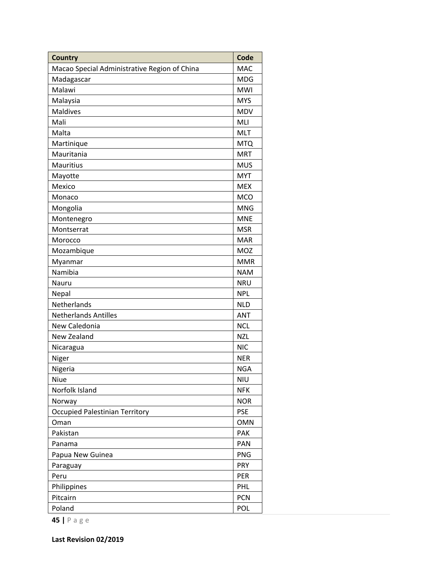| <b>Country</b>                               | Code       |
|----------------------------------------------|------------|
| Macao Special Administrative Region of China | <b>MAC</b> |
| Madagascar                                   | <b>MDG</b> |
| Malawi                                       | <b>MWI</b> |
| Malaysia                                     | <b>MYS</b> |
| <b>Maldives</b>                              | <b>MDV</b> |
| Mali                                         | MLI        |
| Malta                                        | <b>MLT</b> |
| Martinique                                   | <b>MTQ</b> |
| Mauritania                                   | <b>MRT</b> |
| Mauritius                                    | <b>MUS</b> |
| Mayotte                                      | <b>MYT</b> |
| Mexico                                       | <b>MEX</b> |
| Monaco                                       | <b>MCO</b> |
| Mongolia                                     | <b>MNG</b> |
| Montenegro                                   | <b>MNE</b> |
| Montserrat                                   | <b>MSR</b> |
| Morocco                                      | <b>MAR</b> |
| Mozambique                                   | MOZ        |
| Myanmar                                      | <b>MMR</b> |
| Namibia                                      | <b>NAM</b> |
| Nauru                                        | <b>NRU</b> |
| Nepal                                        | <b>NPL</b> |
| Netherlands                                  | <b>NLD</b> |
| <b>Netherlands Antilles</b>                  | <b>ANT</b> |
| New Caledonia                                | <b>NCL</b> |
| New Zealand                                  | <b>NZL</b> |
| Nicaragua                                    | <b>NIC</b> |
| Niger                                        | <b>NER</b> |
| Nigeria                                      | <b>NGA</b> |
| Niue                                         | <b>NIU</b> |
| Norfolk Island                               | <b>NFK</b> |
| Norway                                       | <b>NOR</b> |
| <b>Occupied Palestinian Territory</b>        | <b>PSE</b> |
| Oman                                         | <b>OMN</b> |
| Pakistan                                     | PAK        |
| Panama                                       | PAN        |
| Papua New Guinea                             | <b>PNG</b> |
| Paraguay                                     | <b>PRY</b> |
| Peru                                         | PER        |
| Philippines                                  | <b>PHL</b> |
| Pitcairn                                     | <b>PCN</b> |
| Poland                                       | POL        |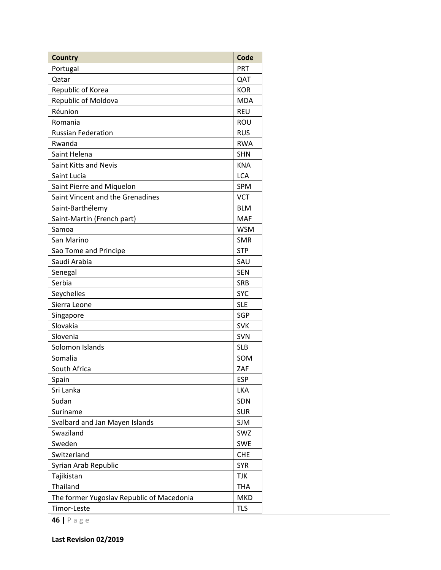| <b>Country</b>                            | Code       |
|-------------------------------------------|------------|
| Portugal                                  | PRT        |
| Qatar                                     | QAT        |
| Republic of Korea                         | <b>KOR</b> |
| Republic of Moldova                       | <b>MDA</b> |
| Réunion                                   | <b>REU</b> |
| Romania                                   | ROU        |
| <b>Russian Federation</b>                 | <b>RUS</b> |
| Rwanda                                    | <b>RWA</b> |
| Saint Helena                              | <b>SHN</b> |
| Saint Kitts and Nevis                     | <b>KNA</b> |
| Saint Lucia                               | <b>LCA</b> |
| Saint Pierre and Miquelon                 | SPM        |
| Saint Vincent and the Grenadines          | <b>VCT</b> |
| Saint-Barthélemy                          | <b>BLM</b> |
| Saint-Martin (French part)                | <b>MAF</b> |
| Samoa                                     | <b>WSM</b> |
| San Marino                                | <b>SMR</b> |
| Sao Tome and Principe                     | <b>STP</b> |
| Saudi Arabia                              | SAU        |
| Senegal                                   | <b>SEN</b> |
| Serbia                                    | <b>SRB</b> |
| Seychelles                                | <b>SYC</b> |
| Sierra Leone                              | <b>SLE</b> |
| Singapore                                 | <b>SGP</b> |
| Slovakia                                  | <b>SVK</b> |
| Slovenia                                  | <b>SVN</b> |
| Solomon Islands                           | <b>SLB</b> |
| Somalia                                   | SOM        |
| South Africa                              | ZAF        |
| Spain                                     | <b>ESP</b> |
| Sri Lanka                                 | LKA        |
| Sudan                                     | SDN        |
| Suriname                                  | <b>SUR</b> |
| Svalbard and Jan Mayen Islands            | <b>SJM</b> |
| Swaziland                                 | SWZ        |
| Sweden                                    | <b>SWE</b> |
| Switzerland                               | <b>CHE</b> |
| Syrian Arab Republic                      | <b>SYR</b> |
| Tajikistan                                | <b>TJK</b> |
| Thailand                                  | <b>THA</b> |
| The former Yugoslav Republic of Macedonia | <b>MKD</b> |
| Timor-Leste                               | <b>TLS</b> |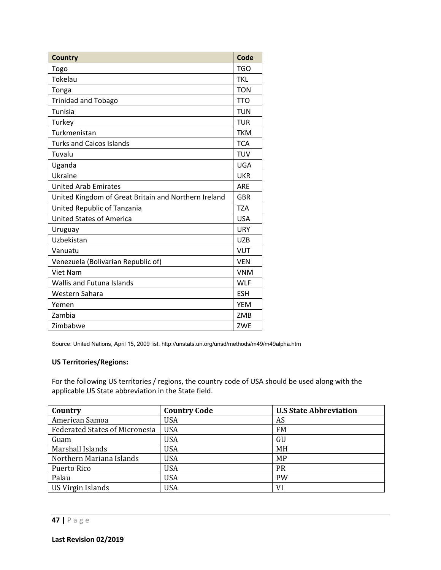| <b>Country</b>                                       | Code       |
|------------------------------------------------------|------------|
| Togo                                                 | <b>TGO</b> |
| Tokelau                                              | <b>TKL</b> |
| Tonga                                                | <b>TON</b> |
| <b>Trinidad and Tobago</b>                           | <b>TTO</b> |
| Tunisia                                              | <b>TUN</b> |
| Turkey                                               | <b>TUR</b> |
| Turkmenistan                                         | <b>TKM</b> |
| <b>Turks and Caicos Islands</b>                      | <b>TCA</b> |
| Tuvalu                                               | <b>TUV</b> |
| Uganda                                               | <b>UGA</b> |
| Ukraine                                              | <b>UKR</b> |
| <b>United Arab Emirates</b>                          | <b>ARF</b> |
| United Kingdom of Great Britain and Northern Ireland | <b>GBR</b> |
| United Republic of Tanzania                          | <b>TZA</b> |
| <b>United States of America</b>                      | <b>USA</b> |
| Uruguay                                              | <b>URY</b> |
| Uzbekistan                                           | <b>UZB</b> |
| Vanuatu                                              | <b>VUT</b> |
| Venezuela (Bolivarian Republic of)                   | <b>VEN</b> |
| <b>Viet Nam</b>                                      | <b>VNM</b> |
| <b>Wallis and Futuna Islands</b>                     | <b>WLF</b> |
| Western Sahara                                       | <b>ESH</b> |
| Yemen                                                | <b>YEM</b> |
| Zambia                                               | ZMB        |
| Zimbabwe                                             | ZWE        |

Source: United Nations, April 15, 2009 list. http://unstats.un.org/unsd/methods/m49/m49alpha.htm

#### **US Territories/Regions:**

For the following US territories / regions, the country code of USA should be used along with the applicable US State abbreviation in the State field.

| Country                               | <b>Country Code</b> | <b>U.S State Abbreviation</b> |
|---------------------------------------|---------------------|-------------------------------|
| American Samoa                        | <b>USA</b>          | AS                            |
| <b>Federated States of Micronesia</b> | <b>USA</b>          | FM                            |
| Guam                                  | <b>USA</b>          | GU                            |
| Marshall Islands                      | <b>USA</b>          | <b>MH</b>                     |
| Northern Mariana Islands              | <b>USA</b>          | MP                            |
| Puerto Rico                           | <b>USA</b>          | PR                            |
| Palau                                 | <b>USA</b>          | <b>PW</b>                     |
| US Virgin Islands                     | <b>USA</b>          | VI                            |